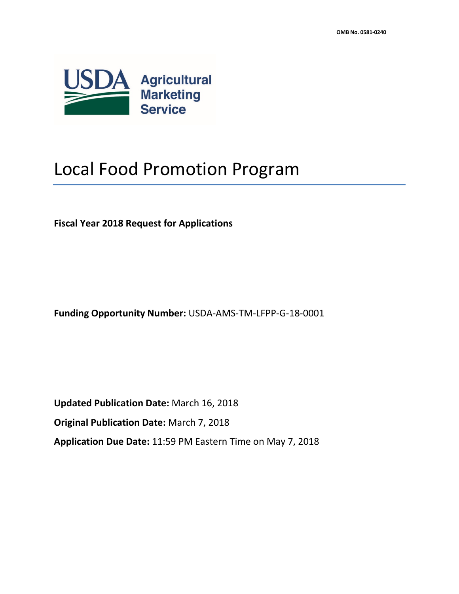

# Local Food Promotion Program

**Fiscal Year 2018 Request for Applications**

**Funding Opportunity Number:** USDA-AMS-TM-LFPP-G-18-0001

**Updated Publication Date:** March 16, 2018 **Original Publication Date:** March 7, 2018 **Application Due Date:** 11:59 PM Eastern Time on May 7, 2018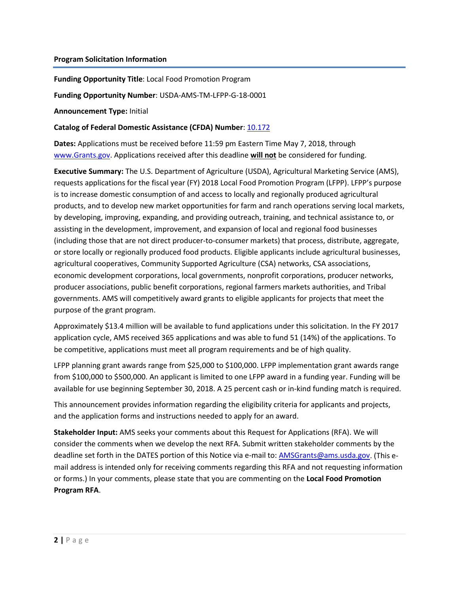#### **Program Solicitation Information**

**Funding Opportunity Title**: Local Food Promotion Program

**Funding Opportunity Number**: USDA-AMS-TM-LFPP-G-18-0001

**Announcement Type:** Initial

#### **Catalog of Federal Domestic Assistance (CFDA) Number**[: 10.172](https://www.cfda.gov/index?s=program&mode=form&tab=step1&id=958961216c4467e741ea6be0b5bfffcc)

**Dates:** Applications must be received before 11:59 pm Eastern Time May 7, 2018, through [www.Grants.gov.](http://www.grants.gov/) Applications received after this deadline **will not** be considered for funding.

**Executive Summary:** The U.S. Department of Agriculture (USDA), Agricultural Marketing Service (AMS), requests applications for the fiscal year (FY) 2018 Local Food Promotion Program (LFPP). LFPP's purpose is to increase domestic consumption of and access to locally and regionally produced agricultural products, and to develop new market opportunities for farm and ranch operations serving local markets, by developing, improving, expanding, and providing outreach, training, and technical assistance to, or assisting in the development, improvement, and expansion of local and regional food businesses (including those that are not direct producer-to-consumer markets) that process, distribute, aggregate, or store locally or regionally produced food products. Eligible applicants include agricultural businesses, agricultural cooperatives, Community Supported Agriculture (CSA) networks, CSA associations, economic development corporations, local governments, nonprofit corporations, producer networks, producer associations, public benefit corporations, regional farmers markets authorities, and Tribal governments. AMS will competitively award grants to eligible applicants for projects that meet the purpose of the grant program.

Approximately \$13.4 million will be available to fund applications under this solicitation. In the FY 2017 application cycle, AMS received 365 applications and was able to fund 51 (14%) of the applications. To be competitive, applications must meet all program requirements and be of high quality.

LFPP planning grant awards range from \$25,000 to \$100,000. LFPP implementation grant awards range from \$100,000 to \$500,000. An applicant is limited to one LFPP award in a funding year. Funding will be available for use beginning September 30, 2018. A 25 percent cash or in-kind funding match is required.

This announcement provides information regarding the eligibility criteria for applicants and projects, and the application forms and instructions needed to apply for an award.

**Stakeholder Input:** AMS seeks your comments about this Request for Applications (RFA). We will consider the comments when we develop the next RFA. Submit written stakeholder comments by the deadline set forth in the DATES portion of this Notice via e-mail to: [AMSGrants@ams.usda.gov.](mailto:USDALFPPQuestions@ams.usda.gov) (This email address is intended only for receiving comments regarding this RFA and not requesting information or forms.) In your comments, please state that you are commenting on the **Local Food Promotion Program RFA**.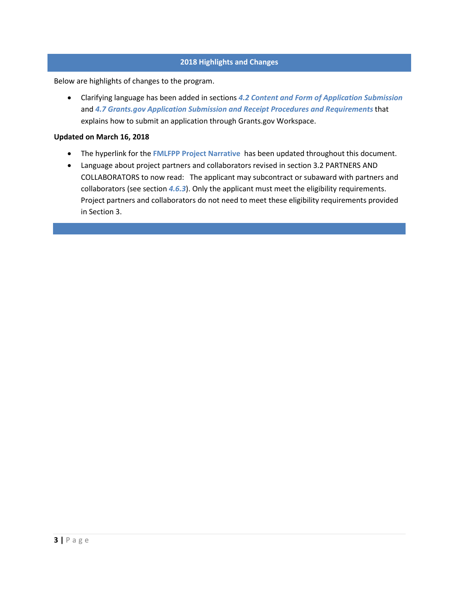# **2018 Highlights and Changes**

Below are highlights of changes to the program.

• Clarifying language has been added in sections *[4.2](#page-14-0) [Content and Form of Application Submission](#page-14-0)* and *[4.7](#page-28-0) [Grants.gov Application Submission and Receipt Procedures and Requirements](#page-28-0)* that explains how to submit an application through Grants.gov Workspace.

#### **Updated on March 16, 2018**

- The hyperlink for the **[FMLFPP Project Narrative](https://www.ams.usda.gov/sites/default/files/media/2018FMLFPPProjectNarrative03052018.docx)** has been updated throughout this document.
- Language about project partners and collaborators revised in section 3.2 PARTNERS AND COLLABORATORS to now read: The applicant may subcontract or subaward with partners and collaborators (see section *[4.6.3](#page-20-0)*). Only the applicant must meet the eligibility requirements. Project partners and collaborators do not need to meet these eligibility requirements provided in Section 3.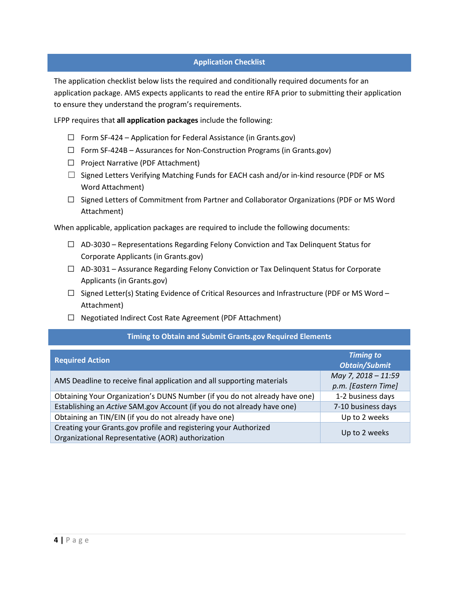# **Application Checklist**

The application checklist below lists the required and conditionally required documents for an application package. AMS expects applicants to read the entire RFA prior to submitting their application to ensure they understand the program's requirements.

LFPP requires that **all application packages** include the following:

- $\Box$  Form SF-424 Application for Federal Assistance (in Grants.gov)
- $\Box$  Form SF-424B Assurances for Non-Construction Programs (in Grants.gov)
- ☐ Project Narrative (PDF Attachment)
- $\Box$  Signed Letters Verifying Matching Funds for EACH cash and/or in-kind resource (PDF or MS Word Attachment)
- ☐ Signed Letters of Commitment from Partner and Collaborator Organizations (PDF or MS Word Attachment)

When applicable, application packages are required to include the following documents:

- $\Box$  AD-3030 Representations Regarding Felony Conviction and Tax Delinquent Status for Corporate Applicants (in Grants.gov)
- $\Box$  AD-3031 Assurance Regarding Felony Conviction or Tax Delinguent Status for Corporate Applicants (in Grants.gov)
- $\Box$  Signed Letter(s) Stating Evidence of Critical Resources and Infrastructure (PDF or MS Word Attachment)
- ☐ Negotiated Indirect Cost Rate Agreement (PDF Attachment)

#### **Timing to Obtain and Submit Grants.gov Required Elements**

| <b>Required Action</b>                                                                                                | <b>Timing to</b><br><b>Obtain/Submit</b>   |
|-----------------------------------------------------------------------------------------------------------------------|--------------------------------------------|
| AMS Deadline to receive final application and all supporting materials                                                | May 7, 2018 - 11:59<br>p.m. [Eastern Time] |
| Obtaining Your Organization's DUNS Number (if you do not already have one)                                            | 1-2 business days                          |
| Establishing an Active SAM.gov Account (if you do not already have one)                                               | 7-10 business days                         |
| Obtaining an TIN/EIN (if you do not already have one)                                                                 | Up to 2 weeks                              |
| Creating your Grants.gov profile and registering your Authorized<br>Organizational Representative (AOR) authorization | Up to 2 weeks                              |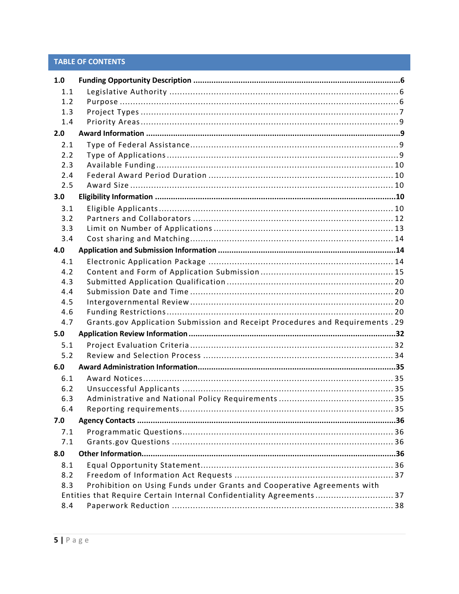# **TABLE OF CONTENTS**

| 1.0 |                                                                                |  |
|-----|--------------------------------------------------------------------------------|--|
| 1.1 |                                                                                |  |
| 1.2 |                                                                                |  |
| 1.3 |                                                                                |  |
| 1.4 |                                                                                |  |
| 2.0 |                                                                                |  |
| 2.1 |                                                                                |  |
| 2.2 |                                                                                |  |
| 2.3 |                                                                                |  |
| 2.4 |                                                                                |  |
| 2.5 |                                                                                |  |
| 3.0 |                                                                                |  |
| 3.1 |                                                                                |  |
| 3.2 |                                                                                |  |
| 3.3 |                                                                                |  |
| 3.4 |                                                                                |  |
| 4.0 |                                                                                |  |
| 4.1 |                                                                                |  |
| 4.2 |                                                                                |  |
| 4.3 |                                                                                |  |
| 4.4 |                                                                                |  |
| 4.5 |                                                                                |  |
| 4.6 |                                                                                |  |
| 4.7 | Grants.gov Application Submission and Receipt Procedures and Requirements . 29 |  |
| 5.0 |                                                                                |  |
| 5.1 |                                                                                |  |
| 5.2 |                                                                                |  |
| 6.0 |                                                                                |  |
| 6.1 |                                                                                |  |
| 6.2 |                                                                                |  |
| 6.3 |                                                                                |  |
| 6.4 | . 35                                                                           |  |
| 7.0 |                                                                                |  |
| 7.1 |                                                                                |  |
| 7.1 |                                                                                |  |
| 8.0 |                                                                                |  |
| 8.1 |                                                                                |  |
| 8.2 |                                                                                |  |
| 8.3 | Prohibition on Using Funds under Grants and Cooperative Agreements with        |  |
|     | Entities that Require Certain Internal Confidentiality Agreements 37           |  |
| 8.4 |                                                                                |  |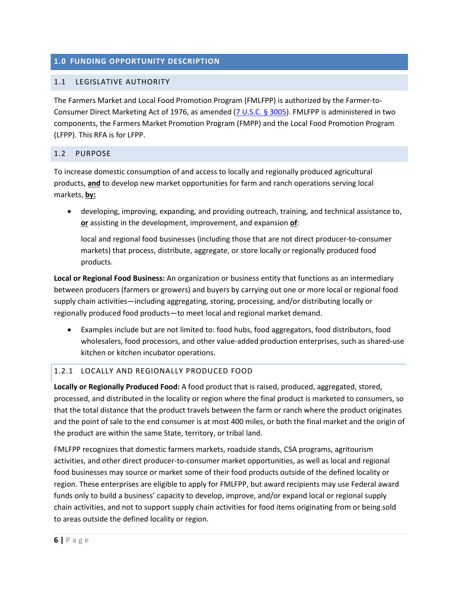# <span id="page-5-0"></span>**1.0 FUNDING OPPORTUNITY DESCRIPTION**

# <span id="page-5-1"></span>1.1 LEGISLATIVE AUTHORITY

The Farmers Market and Local Food Promotion Program (FMLFPP) is authorized by the Farmer-to-Consumer Direct Marketing Act of 1976, as amended [\(7 U.S.C.](http://uscode.house.gov/view.xhtml?req=(title:7%20section:3005%20edition:prelim)%20OR%20(granuleid:USC-prelim-title7-section3005)&f=treesort&edition=prelim&num=0&jumpTo=true) § 3005). FMLFPP is administered in two components, the Farmers Market Promotion Program (FMPP) and the Local Food Promotion Program (LFPP). This RFA is for LFPP.

# <span id="page-5-2"></span>1.2 PURPOSE

To increase domestic consumption of and access to locally and regionally produced agricultural products, **and** to develop new market opportunities for farm and ranch operations serving local markets, **by:**

• developing, improving, expanding, and providing outreach, training, and technical assistance to, **or** assisting in the development, improvement, and expansion **of**:

local and regional food businesses (including those that are not direct producer-to-consumer markets) that process, distribute, aggregate, or store locally or regionally produced food products.

**Local or Regional Food Business:** An organization or business entity that functions as an intermediary between producers (farmers or growers) and buyers by carrying out one or more local or regional food supply chain activities—including aggregating, storing, processing, and/or distributing locally or regionally produced food products—to meet local and regional market demand.

• Examples include but are not limited to: food hubs, food aggregators, food distributors, food wholesalers, food processors, and other value-added production enterprises, such as shared-use kitchen or kitchen incubator operations.

# 1.2.1 LOCALLY AND REGIONALLY PRODUCED FOOD

**Locally or Regionally Produced Food:** A food product that is raised, produced, aggregated, stored, processed, and distributed in the locality or region where the final product is marketed to consumers, so that the total distance that the product travels between the farm or ranch where the product originates and the point of sale to the end consumer is at most 400 miles, or both the final market and the origin of the product are within the same State, territory, or tribal land.

FMLFPP recognizes that domestic farmers markets, roadside stands, CSA programs, agritourism activities, and other direct producer-to-consumer market opportunities, as well as local and regional food businesses may source or market some of their food products outside of the defined locality or region. These enterprises are eligible to apply for FMLFPP, but award recipients may use Federal award funds only to build a business' capacity to develop, improve, and/or expand local or regional supply chain activities, and not to support supply chain activities for food items originating from or being sold to areas outside the defined locality or region.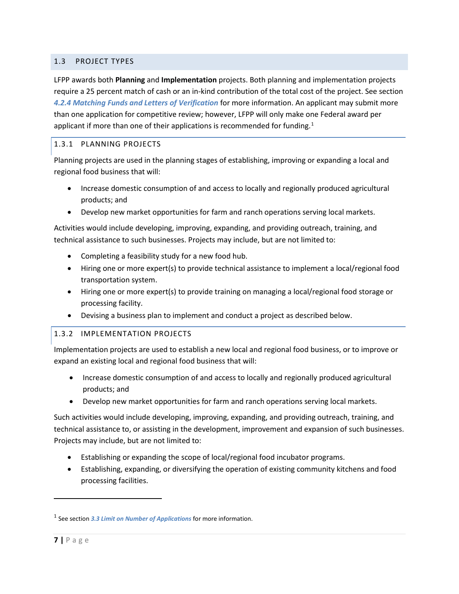# <span id="page-6-0"></span>1.3 PROJECT TYPES

LFPP awards both **Planning** and **Implementation** projects. Both planning and implementation projects require a 25 percent match of cash or an in-kind contribution of the total cost of the project. See section *[4.2.4](#page-15-0) [Matching Funds and Letters of Verification](#page-15-0)* for more information. An applicant may submit more than one application for competitive review; however, LFPP will only make one Federal award per applicant if more than one of their applications is recommended for funding.<sup>[1](#page-6-1)</sup>

# 1.3.1 PLANNING PROJECTS

Planning projects are used in the planning stages of establishing, improving or expanding a local and regional food business that will:

- Increase domestic consumption of and access to locally and regionally produced agricultural products; and
- Develop new market opportunities for farm and ranch operations serving local markets.

Activities would include developing, improving, expanding, and providing outreach, training, and technical assistance to such businesses. Projects may include, but are not limited to:

- Completing a feasibility study for a new food hub.
- Hiring one or more expert(s) to provide technical assistance to implement a local/regional food transportation system.
- Hiring one or more expert(s) to provide training on managing a local/regional food storage or processing facility.
- Devising a business plan to implement and conduct a project as described below.

# 1.3.2 IMPLEMENTATION PROJECTS

Implementation projects are used to establish a new local and regional food business, or to improve or expand an existing local and regional food business that will:

- Increase domestic consumption of and access to locally and regionally produced agricultural products; and
- Develop new market opportunities for farm and ranch operations serving local markets.

Such activities would include developing, improving, expanding, and providing outreach, training, and technical assistance to, or assisting in the development, improvement and expansion of such businesses. Projects may include, but are not limited to:

- Establishing or expanding the scope of local/regional food incubator programs.
- Establishing, expanding, or diversifying the operation of existing community kitchens and food processing facilities.

l

<span id="page-6-1"></span><sup>1</sup> See section *[3.3](#page-12-0) [Limit on Number of Applications](#page-12-0)* for more information.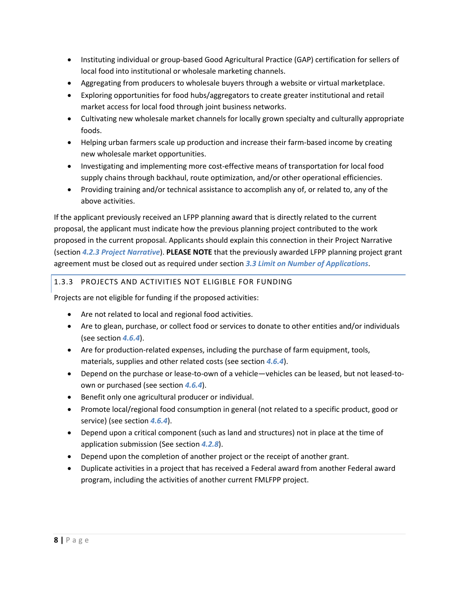- Instituting individual or group-based Good Agricultural Practice (GAP) certification for sellers of local food into institutional or wholesale marketing channels.
- Aggregating from producers to wholesale buyers through a website or virtual marketplace.
- Exploring opportunities for food hubs/aggregators to create greater institutional and retail market access for local food through joint business networks.
- Cultivating new wholesale market channels for locally grown specialty and culturally appropriate foods.
- Helping urban farmers scale up production and increase their farm-based income by creating new wholesale market opportunities.
- Investigating and implementing more cost-effective means of transportation for local food supply chains through backhaul, route optimization, and/or other operational efficiencies.
- Providing training and/or technical assistance to accomplish any of, or related to, any of the above activities.

If the applicant previously received an LFPP planning award that is directly related to the current proposal, the applicant must indicate how the previous planning project contributed to the work proposed in the current proposal. Applicants should explain this connection in their Project Narrative (section *[4.2.3](#page-15-1) [Project Narrative](#page-15-1)*). **PLEASE NOTE** that the previously awarded LFPP planning project grant agreement must be closed out as required under section *[3.3](#page-12-0) [Limit on Number of Applications](#page-12-0)*.

# 1.3.3 PROJECTS AND ACTIVITIES NOT ELIGIBLE FOR FUNDING

Projects are not eligible for funding if the proposed activities:

- Are not related to local and regional food activities.
- Are to glean, purchase, or collect food or services to donate to other entities and/or individuals (see section *[4.6.4](#page-20-1)*).
- Are for production-related expenses, including the purchase of farm equipment, tools, materials, supplies and other related costs (see section *[4.6.4](#page-20-1)*).
- Depend on the purchase or lease-to-own of a vehicle—vehicles can be leased, but not leased-toown or purchased (see section *[4.6.4](#page-20-1)*).
- Benefit only one agricultural producer or individual.
- Promote local/regional food consumption in general (not related to a specific product, good or service) (see section *[4.6.4](#page-20-1)*).
- Depend upon a critical component (such as land and structures) not in place at the time of application submission (See section *[4.2.8](#page-18-1)*).
- Depend upon the completion of another project or the receipt of another grant.
- Duplicate activities in a project that has received a Federal award from another Federal award program, including the activities of another current FMLFPP project.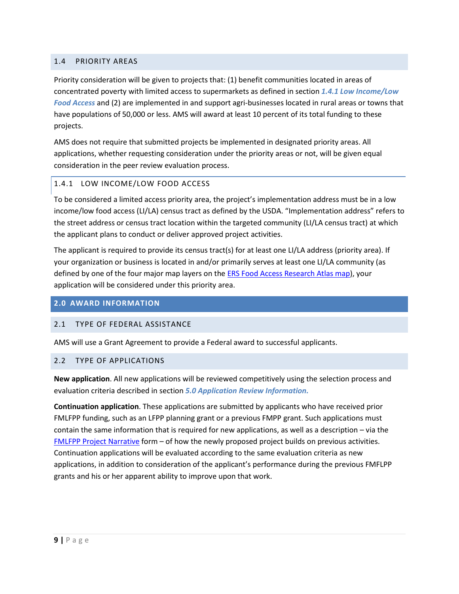# <span id="page-8-0"></span>1.4 PRIORITY AREAS

Priority consideration will be given to projects that: (1) benefit communities located in areas of concentrated poverty with limited access to supermarkets as defined in section *[1.4.1](#page-8-4) [Low Income/Low](#page-8-4)  [Food Access](#page-8-4)* and (2) are implemented in and support agri-businesses located in rural areas or towns that have populations of 50,000 or less. AMS will award at least 10 percent of its total funding to these projects.

AMS does not require that submitted projects be implemented in designated priority areas. All applications, whether requesting consideration under the priority areas or not, will be given equal consideration in the peer review evaluation process.

#### <span id="page-8-4"></span>1.4.1 LOW INCOME/LOW FOOD ACCESS

To be considered a limited access priority area, the project's implementation address must be in a low income/low food access (LI/LA) census tract as defined by the USDA. "Implementation address" refers to the street address or census tract location within the targeted community (LI/LA census tract) at which the applicant plans to conduct or deliver approved project activities.

The applicant is required to provide its census tract(s) for at least one LI/LA address (priority area). If your organization or business is located in and/or primarily serves at least one LI/LA community (as defined by one of the four major map layers on the [ERS Food Access Research Atlas map\)](http://www.ers.usda.gov/data-products/food-access-research-atlas/go-to-the-atlas.aspx), your application will be considered under this priority area.

#### <span id="page-8-1"></span>**2.0 AWARD INFORMATION**

#### <span id="page-8-2"></span>2.1 TYPE OF FEDERAL ASSISTANCE

AMS will use a Grant Agreement to provide a Federal award to successful applicants.

#### <span id="page-8-3"></span>2.2 TYPE OF APPLICATIONS

**New application**. All new applications will be reviewed competitively using the selection process and evaluation criteria described in section *[5.0](#page-31-0) [Application Review Information.](#page-31-0)*

**Continuation application**. These applications are submitted by applicants who have received prior FMLFPP funding, such as an LFPP planning grant or a previous FMPP grant. Such applications must contain the same information that is required for new applications, as well as a description – via the [FMLFPP Project Narrative](https://www.ams.usda.gov/sites/default/files/media/2018FMLFPPProjectNarrative03052018.docx) form – of how the newly proposed project builds on previous activities. Continuation applications will be evaluated according to the same evaluation criteria as new applications, in addition to consideration of the applicant's performance during the previous FMFLPP grants and his or her apparent ability to improve upon that work.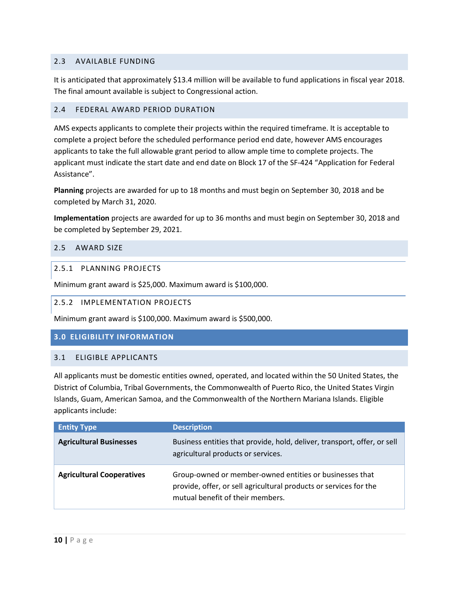## <span id="page-9-0"></span>2.3 AVAILABLE FUNDING

It is anticipated that approximately \$13.4 million will be available to fund applications in fiscal year 2018. The final amount available is subject to Congressional action.

#### <span id="page-9-1"></span>2.4 FEDERAL AWARD PERIOD DURATION

AMS expects applicants to complete their projects within the required timeframe. It is acceptable to complete a project before the scheduled performance period end date, however AMS encourages applicants to take the full allowable grant period to allow ample time to complete projects. The applicant must indicate the start date and end date on Block 17 of the SF-424 "Application for Federal Assistance".

**Planning** projects are awarded for up to 18 months and must begin on September 30, 2018 and be completed by March 31, 2020.

**Implementation** projects are awarded for up to 36 months and must begin on September 30, 2018 and be completed by September 29, 2021.

### <span id="page-9-2"></span>2.5 AWARD SIZE

### 2.5.1 PLANNING PROJECTS

Minimum grant award is \$25,000. Maximum award is \$100,000.

#### 2.5.2 IMPLEMENTATION PROJECTS

Minimum grant award is \$100,000. Maximum award is \$500,000.

# <span id="page-9-3"></span>**3.0 ELIGIBILITY INFORMATION**

#### <span id="page-9-4"></span>3.1 ELIGIBLE APPLICANTS

All applicants must be domestic entities owned, operated, and located within the 50 United States, the District of Columbia, Tribal Governments, the Commonwealth of Puerto Rico, the United States Virgin Islands, Guam, American Samoa, and the Commonwealth of the Northern Mariana Islands. Eligible applicants include:

| <b>Entity Type</b>               | <b>Description</b>                                                                                                                                               |
|----------------------------------|------------------------------------------------------------------------------------------------------------------------------------------------------------------|
| <b>Agricultural Businesses</b>   | Business entities that provide, hold, deliver, transport, offer, or sell<br>agricultural products or services.                                                   |
| <b>Agricultural Cooperatives</b> | Group-owned or member-owned entities or businesses that<br>provide, offer, or sell agricultural products or services for the<br>mutual benefit of their members. |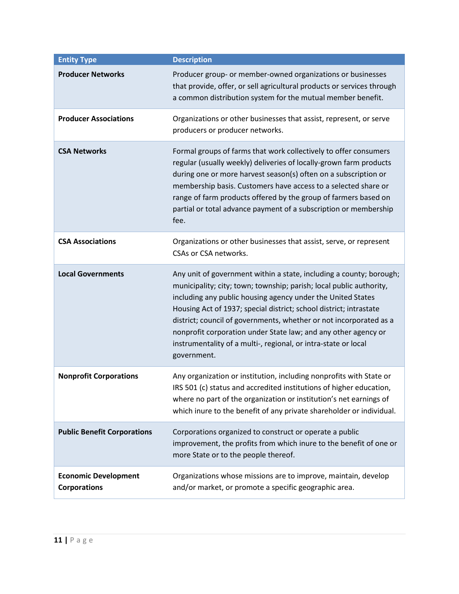| <b>Entity Type</b>                                 | <b>Description</b>                                                                                                                                                                                                                                                                                                                                                                                                                                                                                       |
|----------------------------------------------------|----------------------------------------------------------------------------------------------------------------------------------------------------------------------------------------------------------------------------------------------------------------------------------------------------------------------------------------------------------------------------------------------------------------------------------------------------------------------------------------------------------|
| <b>Producer Networks</b>                           | Producer group- or member-owned organizations or businesses<br>that provide, offer, or sell agricultural products or services through<br>a common distribution system for the mutual member benefit.                                                                                                                                                                                                                                                                                                     |
| <b>Producer Associations</b>                       | Organizations or other businesses that assist, represent, or serve<br>producers or producer networks.                                                                                                                                                                                                                                                                                                                                                                                                    |
| <b>CSA Networks</b>                                | Formal groups of farms that work collectively to offer consumers<br>regular (usually weekly) deliveries of locally-grown farm products<br>during one or more harvest season(s) often on a subscription or<br>membership basis. Customers have access to a selected share or<br>range of farm products offered by the group of farmers based on<br>partial or total advance payment of a subscription or membership<br>fee.                                                                               |
| <b>CSA Associations</b>                            | Organizations or other businesses that assist, serve, or represent<br>CSAs or CSA networks.                                                                                                                                                                                                                                                                                                                                                                                                              |
| <b>Local Governments</b>                           | Any unit of government within a state, including a county; borough;<br>municipality; city; town; township; parish; local public authority,<br>including any public housing agency under the United States<br>Housing Act of 1937; special district; school district; intrastate<br>district; council of governments, whether or not incorporated as a<br>nonprofit corporation under State law; and any other agency or<br>instrumentality of a multi-, regional, or intra-state or local<br>government. |
| <b>Nonprofit Corporations</b>                      | Any organization or institution, including nonprofits with State or<br>IRS 501 (c) status and accredited institutions of higher education,<br>where no part of the organization or institution's net earnings of<br>which inure to the benefit of any private shareholder or individual.                                                                                                                                                                                                                 |
| <b>Public Benefit Corporations</b>                 | Corporations organized to construct or operate a public<br>improvement, the profits from which inure to the benefit of one or<br>more State or to the people thereof.                                                                                                                                                                                                                                                                                                                                    |
| <b>Economic Development</b><br><b>Corporations</b> | Organizations whose missions are to improve, maintain, develop<br>and/or market, or promote a specific geographic area.                                                                                                                                                                                                                                                                                                                                                                                  |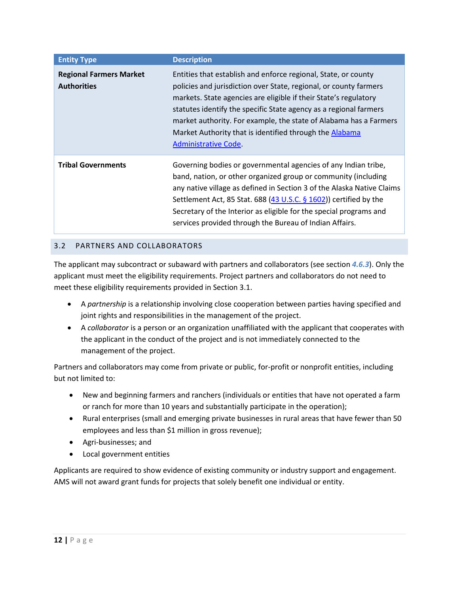| <b>Entity Type</b>                                   | <b>Description</b>                                                                                                                                                                                                                                                                                                                                                                                                                   |
|------------------------------------------------------|--------------------------------------------------------------------------------------------------------------------------------------------------------------------------------------------------------------------------------------------------------------------------------------------------------------------------------------------------------------------------------------------------------------------------------------|
| <b>Regional Farmers Market</b><br><b>Authorities</b> | Entities that establish and enforce regional, State, or county<br>policies and jurisdiction over State, regional, or county farmers<br>markets. State agencies are eligible if their State's regulatory<br>statutes identify the specific State agency as a regional farmers<br>market authority. For example, the state of Alabama has a Farmers<br>Market Authority that is identified through the Alabama<br>Administrative Code. |
| <b>Tribal Governments</b>                            | Governing bodies or governmental agencies of any Indian tribe,<br>band, nation, or other organized group or community (including<br>any native village as defined in Section 3 of the Alaska Native Claims<br>Settlement Act, 85 Stat. 688 (43 U.S.C. § 1602)) certified by the<br>Secretary of the Interior as eligible for the special programs and<br>services provided through the Bureau of Indian Affairs.                     |

# <span id="page-11-0"></span>3.2 PARTNERS AND COLLABORATORS

The applicant may subcontract or subaward with partners and collaborators (see section *[4.6.3](#page-20-0)*). Only the applicant must meet the eligibility requirements. Project partners and collaborators do not need to meet these eligibility requirements provided in Section 3.1.

- A *partnership* is a relationship involving close cooperation between parties having specified and joint rights and responsibilities in the management of the project.
- A *collaborator* is a person or an organization unaffiliated with the applicant that cooperates with the applicant in the conduct of the project and is not immediately connected to the management of the project.

Partners and collaborators may come from private or public, for-profit or nonprofit entities, including but not limited to:

- New and beginning farmers and ranchers (individuals or entities that have not operated a farm or ranch for more than 10 years and substantially participate in the operation);
- Rural enterprises (small and emerging private businesses in rural areas that have fewer than 50 employees and less than \$1 million in gross revenue);
- Agri-businesses; and
- Local government entities

Applicants are required to show evidence of existing community or industry support and engagement. AMS will not award grant funds for projects that solely benefit one individual or entity.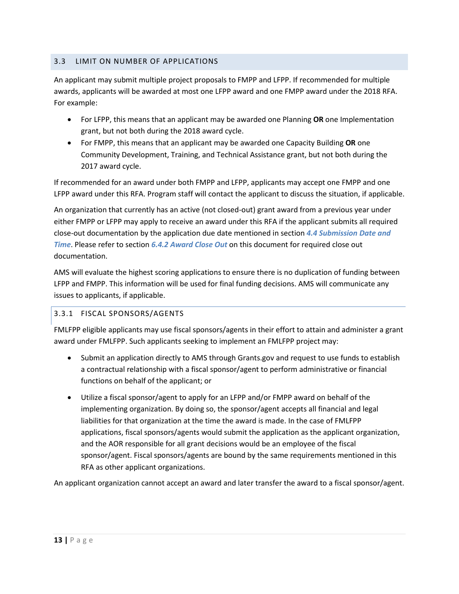# <span id="page-12-0"></span>3.3 LIMIT ON NUMBER OF APPLICATIONS

An applicant may submit multiple project proposals to FMPP and LFPP. If recommended for multiple awards, applicants will be awarded at most one LFPP award and one FMPP award under the 2018 RFA. For example:

- For LFPP, this means that an applicant may be awarded one Planning **OR** one Implementation grant, but not both during the 2018 award cycle.
- For FMPP, this means that an applicant may be awarded one Capacity Building **OR** one Community Development, Training, and Technical Assistance grant, but not both during the 2017 award cycle.

If recommended for an award under both FMPP and LFPP, applicants may accept one FMPP and one LFPP award under this RFA. Program staff will contact the applicant to discuss the situation, if applicable.

An organization that currently has an active (not closed-out) grant award from a previous year under either FMPP or LFPP may apply to receive an award under this RFA if the applicant submits all required close-out documentation by the application due date mentioned in section *[4.4](#page-19-0) [Submission Date and](#page-19-0)  [Time](#page-19-0)*. Please refer to section *[6.4.2 Award Close Out](#page-35-5)* on this document for required close out documentation.

AMS will evaluate the highest scoring applications to ensure there is no duplication of funding between LFPP and FMPP. This information will be used for final funding decisions. AMS will communicate any issues to applicants, if applicable.

# 3.3.1 FISCAL SPONSORS/AGENTS

FMLFPP eligible applicants may use fiscal sponsors/agents in their effort to attain and administer a grant award under FMLFPP. Such applicants seeking to implement an FMLFPP project may:

- Submit an application directly to AMS through Grants.gov and request to use funds to establish a contractual relationship with a fiscal sponsor/agent to perform administrative or financial functions on behalf of the applicant; or
- Utilize a fiscal sponsor/agent to apply for an LFPP and/or FMPP award on behalf of the implementing organization. By doing so, the sponsor/agent accepts all financial and legal liabilities for that organization at the time the award is made. In the case of FMLFPP applications, fiscal sponsors/agents would submit the application as the applicant organization, and the AOR responsible for all grant decisions would be an employee of the fiscal sponsor/agent. Fiscal sponsors/agents are bound by the same requirements mentioned in this RFA as other applicant organizations.

An applicant organization cannot accept an award and later transfer the award to a fiscal sponsor/agent.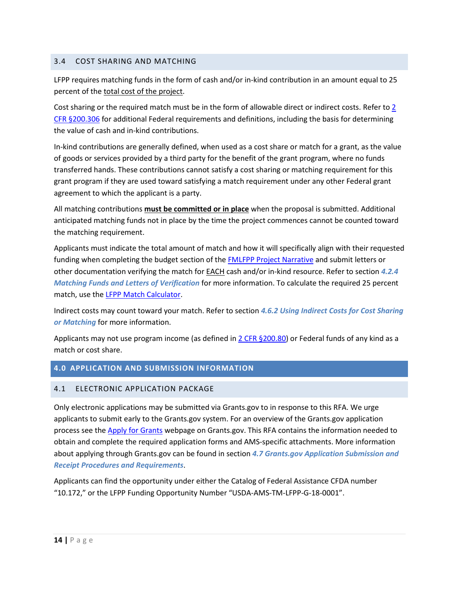## <span id="page-13-0"></span>3.4 COST SHARING AND MATCHING

LFPP requires matching funds in the form of cash and/or in-kind contribution in an amount equal to 25 percent of the total cost of the project.

Cost sharing or the required match must be in the form of allowable direct or indirect costs. Refer to 2 [CFR §200.306](http://www.ecfr.gov/cgi-bin/text-idx?node=2:1.1.2.2.1&rgn=div5#se2.1.200_1306) for additional Federal requirements and definitions, including the basis for determining the value of cash and in-kind contributions.

In-kind contributions are generally defined, when used as a cost share or match for a grant, as the value of goods or services provided by a third party for the benefit of the grant program, where no funds transferred hands. These contributions cannot satisfy a cost sharing or matching requirement for this grant program if they are used toward satisfying a match requirement under any other Federal grant agreement to which the applicant is a party.

All matching contributions **must be committed or in place** when the proposal is submitted. Additional anticipated matching funds not in place by the time the project commences cannot be counted toward the matching requirement.

Applicants must indicate the total amount of match and how it will specifically align with their requested funding when completing the budget section of the **FMLFPP Project Narrative** and submit letters or other documentation verifying the match for EACH cash and/or in-kind resource. Refer to section *[4.2.4](#page-15-0) [Matching Funds and Letters of Verification](#page-15-0)* for more information. To calculate the required 25 percent match, use the [LFPP Match Calculator.](http://www.ams.usda.gov/sites/default/files/Calculator_LFPP%20Match.xlsx)

Indirect costs may count toward your match. Refer to section *[4.6.2](#page-20-2) [Using Indirect Costs for Cost Sharing](#page-20-2)  [or Matching](#page-20-2)* for more information.

Applicants may not use program income (as defined in [2 CFR §200.80\)](https://www.ecfr.gov/cgi-bin/text-idx?SID=2ec16a110e1dda866a341bb9a5f0b305&node=2:1.1.2.2.1.1.28.81&rgn=div8) or Federal funds of any kind as a match or cost share.

# <span id="page-13-1"></span>**4.0 APPLICATION AND SUBMISSION INFORMATION**

#### <span id="page-13-2"></span>4.1 ELECTRONIC APPLICATION PACKAGE

Only electronic applications may be submitted via Grants.gov to in response to this RFA. We urge applicants to submit early to the Grants.gov system. For an overview of the Grants.gov application process see the [Apply for Grants](http://www.grants.gov/web/grants/applicants/apply-for-grants.html) webpage on Grants.gov. This RFA contains the information needed to obtain and complete the required application forms and AMS-specific attachments. More information about applying through Grants.gov can be found in section *[4.7](#page-28-0) [Grants.gov Application Submission and](#page-28-0)  [Receipt Procedures and Requirements](#page-28-0)*.

Applicants can find the opportunity under either the Catalog of Federal Assistance CFDA number "10.172," or the LFPP Funding Opportunity Number "USDA-AMS-TM-LFPP-G-18-0001".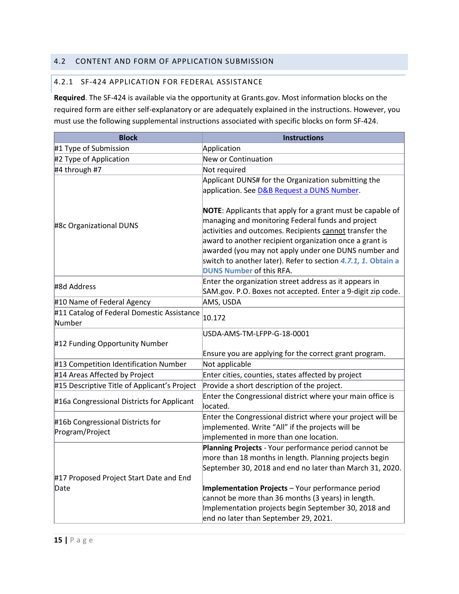# <span id="page-14-0"></span>4.2 CONTENT AND FORM OF APPLICATION SUBMISSION

#### 4.2.1 SF-424 APPLICATION FOR FEDERAL ASSISTANCE

**Required**. The SF-424 is available via the opportunity at Grants.gov. Most information blocks on the required form are either self-explanatory or are adequately explained in the instructions. However, you must use the following supplemental instructions associated with specific blocks on form SF-424.

| <b>Block</b>                                         | <b>Instructions</b>                                                                                                                                                                                                                                                                                                                                                                                      |
|------------------------------------------------------|----------------------------------------------------------------------------------------------------------------------------------------------------------------------------------------------------------------------------------------------------------------------------------------------------------------------------------------------------------------------------------------------------------|
| #1 Type of Submission                                | Application                                                                                                                                                                                                                                                                                                                                                                                              |
| #2 Type of Application                               | New or Continuation                                                                                                                                                                                                                                                                                                                                                                                      |
| #4 through #7                                        | Not required                                                                                                                                                                                                                                                                                                                                                                                             |
|                                                      | Applicant DUNS# for the Organization submitting the                                                                                                                                                                                                                                                                                                                                                      |
|                                                      | application. See <b>D&amp;B Request a DUNS Number</b> .                                                                                                                                                                                                                                                                                                                                                  |
| #8c Organizational DUNS                              | <b>NOTE:</b> Applicants that apply for a grant must be capable of<br>managing and monitoring Federal funds and project<br>activities and outcomes. Recipients cannot transfer the<br>award to another recipient organization once a grant is<br>awarded (you may not apply under one DUNS number and<br>switch to another later). Refer to section 4.7.1, 1. Obtain a<br><b>DUNS Number of this RFA.</b> |
| #8d Address                                          | Enter the organization street address as it appears in                                                                                                                                                                                                                                                                                                                                                   |
|                                                      | SAM.gov. P.O. Boxes not accepted. Enter a 9-digit zip code.                                                                                                                                                                                                                                                                                                                                              |
| #10 Name of Federal Agency                           | AMS, USDA                                                                                                                                                                                                                                                                                                                                                                                                |
| #11 Catalog of Federal Domestic Assistance<br>Number | 10.172                                                                                                                                                                                                                                                                                                                                                                                                   |
| #12 Funding Opportunity Number                       | USDA-AMS-TM-LFPP-G-18-0001                                                                                                                                                                                                                                                                                                                                                                               |
|                                                      | Ensure you are applying for the correct grant program.                                                                                                                                                                                                                                                                                                                                                   |
| #13 Competition Identification Number                | Not applicable                                                                                                                                                                                                                                                                                                                                                                                           |
| #14 Areas Affected by Project                        | Enter cities, counties, states affected by project                                                                                                                                                                                                                                                                                                                                                       |
| #15 Descriptive Title of Applicant's Project         | Provide a short description of the project.                                                                                                                                                                                                                                                                                                                                                              |
| #16a Congressional Districts for Applicant           | Enter the Congressional district where your main office is<br>located.                                                                                                                                                                                                                                                                                                                                   |
| #16b Congressional Districts for<br>Program/Project  | Enter the Congressional district where your project will be<br>implemented. Write "All" if the projects will be<br>implemented in more than one location.                                                                                                                                                                                                                                                |
| #17 Proposed Project Start Date and End<br>Date      | Planning Projects - Your performance period cannot be<br>more than 18 months in length. Planning projects begin<br>September 30, 2018 and end no later than March 31, 2020.<br>Implementation Projects - Your performance period<br>cannot be more than 36 months (3 years) in length.<br>Implementation projects begin September 30, 2018 and<br>end no later than September 29, 2021.                  |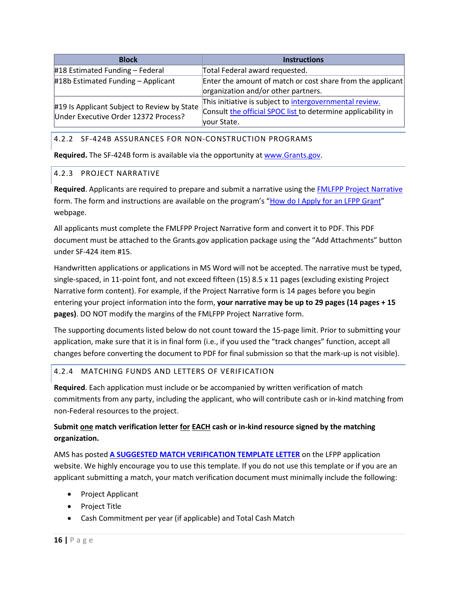| <b>Block</b>                                                                        | <b>Instructions</b>                                          |
|-------------------------------------------------------------------------------------|--------------------------------------------------------------|
| $\#18$ Estimated Funding - Federal                                                  | Total Federal award requested.                               |
| #18b Estimated Funding - Applicant                                                  | Enter the amount of match or cost share from the applicant   |
|                                                                                     | organization and/or other partners.                          |
| #19 Is Applicant Subject to Review by State<br>Under Executive Order 12372 Process? | This initiative is subject to intergovernmental review.      |
|                                                                                     | Consult the official SPOC list to determine applicability in |
|                                                                                     | your State.                                                  |

### 4.2.2 SF-424B ASSURANCES FOR NON-CONSTRUCTION PROGRAMS

**Required.** The SF-424B form is available via the opportunity a[t www.Grants.gov.](http://www.grants.gov/)

### <span id="page-15-1"></span>4.2.3 PROJECT NARRATIVE

**Required**. Applicants are required to prepare and submit a narrative using the [FMLFPP Project Narrative](https://www.ams.usda.gov/sites/default/files/media/2018FMLFPPProjectNarrative03052018.docx) form. The form and instructions are available on the program's ["How do I Apply for an LFPP Grant"](https://www.ams.usda.gov/services/grants/lfpp/how-do-i-apply-lfpp-grant) webpage.

All applicants must complete the FMLFPP Project Narrative form and convert it to PDF. This PDF document must be attached to the Grants.gov application package using the "Add Attachments" button under SF-424 item #15.

Handwritten applications or applications in MS Word will not be accepted. The narrative must be typed, single-spaced, in 11-point font, and not exceed fifteen (15) 8.5 x 11 pages (excluding existing Project Narrative form content). For example, if the Project Narrative form is 14 pages before you begin entering your project information into the form, **your narrative may be up to 29 pages (14 pages + 15 pages)**. DO NOT modify the margins of the FMLFPP Project Narrative form.

The supporting documents listed below do not count toward the 15-page limit. Prior to submitting your application, make sure that it is in final form (i.e., if you used the "track changes" function, accept all changes before converting the document to PDF for final submission so that the mark-up is not visible).

# <span id="page-15-0"></span>4.2.4 MATCHING FUNDS AND LETTERS OF VERIFICATION

**Required**. Each application must include or be accompanied by written verification of match commitments from any party, including the applicant, who will contribute cash or in-kind matching from non-Federal resources to the project.

# **Submit one match verification letter for EACH cash or in-kind resource signed by the matching organization.**

AMS has posted **[A SUGGESTED MATCH VERIFICATION TEMPLATE LETTER](https://www.ams.usda.gov/sites/default/files/media/Verification%20of%20Matching%20Funds%20Template%20Letter.docx)** on the LFPP application website. We highly encourage you to use this template. If you do not use this template or if you are an applicant submitting a match, your match verification document must minimally include the following:

- Project Applicant
- Project Title
- Cash Commitment per year (if applicable) and Total Cash Match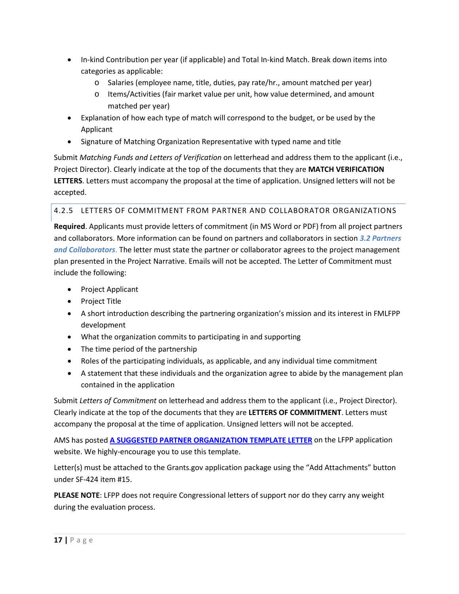- In-kind Contribution per year (if applicable) and Total In-kind Match. Break down items into categories as applicable:
	- o Salaries (employee name, title, duties, pay rate/hr., amount matched per year)
	- o Items/Activities (fair market value per unit, how value determined, and amount matched per year)
- Explanation of how each type of match will correspond to the budget, or be used by the Applicant
- Signature of Matching Organization Representative with typed name and title

Submit *Matching Funds and Letters of Verification* on letterhead and address them to the applicant (i.e., Project Director). Clearly indicate at the top of the documents that they are **MATCH VERIFICATION LETTERS**. Letters must accompany the proposal at the time of application. Unsigned letters will not be accepted.

# 4.2.5 LETTERS OF COMMITMENT FROM PARTNER AND COLLABORATOR ORGANIZATIONS

**Required**. Applicants must provide letters of commitment (in MS Word or PDF) from all project partners and collaborators. More information can be found on partners and collaborators in section *[3.2](#page-11-0) [Partners](#page-11-0)  [and Collaborators](#page-11-0)*. The letter must state the partner or collaborator agrees to the project management plan presented in the Project Narrative. Emails will not be accepted. The Letter of Commitment must include the following:

- Project Applicant
- Project Title
- A short introduction describing the partnering organization's mission and its interest in FMLFPP development
- What the organization commits to participating in and supporting
- The time period of the partnership
- Roles of the participating individuals, as applicable, and any individual time commitment
- A statement that these individuals and the organization agree to abide by the management plan contained in the application

Submit *Letters of Commitment* on letterhead and address them to the applicant (i.e., Project Director). Clearly indicate at the top of the documents that they are **LETTERS OF COMMITMENT**. Letters must accompany the proposal at the time of application. Unsigned letters will not be accepted.

AMS has posted **[A SUGGESTED PARTNER ORGANIZATION TEMPLATE LETTER](https://www.ams.usda.gov/sites/default/files/media/Partnering%20Organization%20Template%20Letter.docx)** on the LFPP application website. We highly-encourage you to use this template.

Letter(s) must be attached to the Grants.gov application package using the "Add Attachments" button under SF-424 item #15.

**PLEASE NOTE**: LFPP does not require Congressional letters of support nor do they carry any weight during the evaluation process.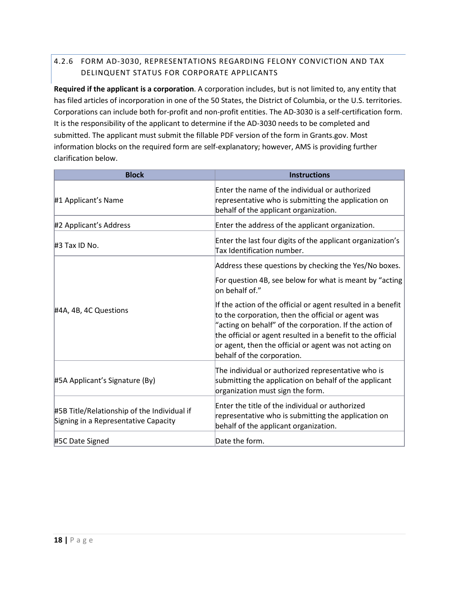# 4.2.6 FORM AD-3030, REPRESENTATIONS REGARDING FELONY CONVICTION AND TAX DELINQUENT STATUS FOR CORPORATE APPLICANTS

**Required if the applicant is a corporation**. A corporation includes, but is not limited to, any entity that has filed articles of incorporation in one of the 50 States, the District of Columbia, or the U.S. territories. Corporations can include both for-profit and non-profit entities. The AD-3030 is a self-certification form. It is the responsibility of the applicant to determine if the AD-3030 needs to be completed and submitted. The applicant must submit the fillable PDF version of the form in Grants.gov. Most information blocks on the required form are self-explanatory; however, AMS is providing further clarification below.

| <b>Block</b>                                                                        | <b>Instructions</b>                                                                                                                                                                                                                                                                                                                  |
|-------------------------------------------------------------------------------------|--------------------------------------------------------------------------------------------------------------------------------------------------------------------------------------------------------------------------------------------------------------------------------------------------------------------------------------|
| #1 Applicant's Name                                                                 | Enter the name of the individual or authorized<br>representative who is submitting the application on<br>behalf of the applicant organization.                                                                                                                                                                                       |
| #2 Applicant's Address                                                              | Enter the address of the applicant organization.                                                                                                                                                                                                                                                                                     |
| #3 Tax ID No.                                                                       | Enter the last four digits of the applicant organization's<br>Tax Identification number.                                                                                                                                                                                                                                             |
|                                                                                     | Address these questions by checking the Yes/No boxes.                                                                                                                                                                                                                                                                                |
|                                                                                     | For question 4B, see below for what is meant by "acting<br>on behalf of."                                                                                                                                                                                                                                                            |
| #4A, 4B, 4C Questions                                                               | If the action of the official or agent resulted in a benefit<br>to the corporation, then the official or agent was<br>"acting on behalf" of the corporation. If the action of<br>the official or agent resulted in a benefit to the official<br>or agent, then the official or agent was not acting on<br>behalf of the corporation. |
| #5A Applicant's Signature (By)                                                      | The individual or authorized representative who is<br>submitting the application on behalf of the applicant<br>organization must sign the form.                                                                                                                                                                                      |
| #5B Title/Relationship of the Individual if<br>Signing in a Representative Capacity | Enter the title of the individual or authorized<br>representative who is submitting the application on<br>behalf of the applicant organization.                                                                                                                                                                                      |
| #5C Date Signed                                                                     | Date the form.                                                                                                                                                                                                                                                                                                                       |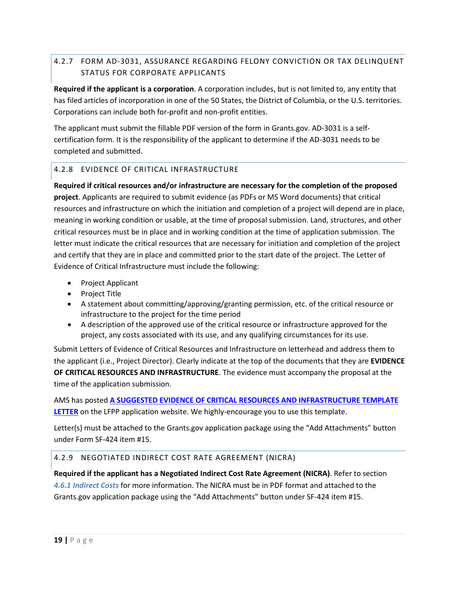# 4.2.7 FORM AD-3031, ASSURANCE REGARDING FELONY CONVICTION OR TAX DELINQUENT STATUS FOR CORPORATE APPLICANTS

**Required if the applicant is a corporation**. A corporation includes, but is not limited to, any entity that has filed articles of incorporation in one of the 50 States, the District of Columbia, or the U.S. territories. Corporations can include both for-profit and non-profit entities.

The applicant must submit the fillable PDF version of the form in Grants.gov. AD-3031 is a selfcertification form. It is the responsibility of the applicant to determine if the AD-3031 needs to be completed and submitted.

# <span id="page-18-1"></span>4.2.8 EVIDENCE OF CRITICAL INFRASTRUCTURE

**Required if critical resources and/or infrastructure are necessary for the completion of the proposed project**. Applicants are required to submit evidence (as PDFs or MS Word documents) that critical resources and infrastructure on which the initiation and completion of a project will depend are in place, meaning in working condition or usable, at the time of proposal submission. Land, structures, and other critical resources must be in place and in working condition at the time of application submission. The letter must indicate the critical resources that are necessary for initiation and completion of the project and certify that they are in place and committed prior to the start date of the project. The Letter of Evidence of Critical Infrastructure must include the following:

- Project Applicant
- Project Title
- A statement about committing/approving/granting permission, etc. of the critical resource or infrastructure to the project for the time period
- A description of the approved use of the critical resource or infrastructure approved for the project, any costs associated with its use, and any qualifying circumstances for its use.

Submit Letters of Evidence of Critical Resources and Infrastructure on letterhead and address them to the applicant (i.e., Project Director). Clearly indicate at the top of the documents that they are **EVIDENCE OF CRITICAL RESOURCES AND INFRASTRUCTURE**. The evidence must accompany the proposal at the time of the application submission.

AMS has posted **[A SUGGESTED EVIDENCE OF CRITICAL RESOURCES AND INFRASTRUCTURE TEMPLATE](https://www.ams.usda.gov/sites/default/files/media/Critical%20Resource-Infrastructure%20Template%20Letter.docx)  [LETTER](https://www.ams.usda.gov/sites/default/files/media/Critical%20Resource-Infrastructure%20Template%20Letter.docx)** on the LFPP application website. We highly-encourage you to use this template.

Letter(s) must be attached to the Grants.gov application package using the "Add Attachments" button under Form SF-424 item #15.

# 4.2.9 NEGOTIATED INDIRECT COST RATE AGREEMENT (NICRA)

<span id="page-18-0"></span>**Required if the applicant has a Negotiated Indirect Cost Rate Agreement (NICRA)**. Refer to section *[4.6.1](#page-19-3) [Indirect Costs](#page-19-3)* for more information. The NICRA must be in PDF format and attached to the Grants.gov application package using the "Add Attachments" button under SF-424 item #15.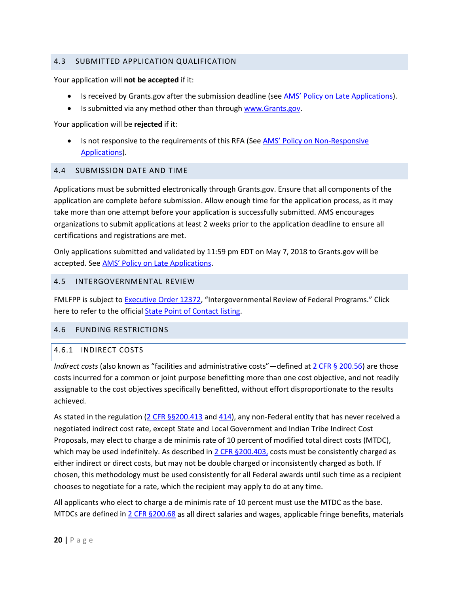### 4.3 SUBMITTED APPLICATION QUALIFICATION

Your application will **not be accepted** if it:

- Is received by Grants.gov after the submission deadline (se[e AMS' Policy on Late Applications\)](https://www.ams.usda.gov/sites/default/files/media/AMSPolicyonConsiderationofLateNonresponsiveApplications.pdf).
- Is submitted via any method other than through [www.Grants.gov.](http://www.grants.gov/)

Your application will be **rejected** if it:

• Is not responsive to the requirements of this RFA (See **AMS' Policy on Non-Responsive** [Applications\)](https://www.ams.usda.gov/sites/default/files/media/AMSPolicyonConsiderationofLateNonresponsiveApplications.pdf).

#### <span id="page-19-0"></span>4.4 SUBMISSION DATE AND TIME

Applications must be submitted electronically through Grants.gov. Ensure that all components of the application are complete before submission. Allow enough time for the application process, as it may take more than one attempt before your application is successfully submitted. AMS encourages organizations to submit applications at least 2 weeks prior to the application deadline to ensure all certifications and registrations are met.

Only applications submitted and validated by 11:59 pm EDT on May 7, 2018 to Grants.gov will be accepted. Se[e AMS' Policy on Late Applications.](https://www.ams.usda.gov/sites/default/files/media/AMSPolicyonConsiderationofLateNonresponsiveApplications.pdf)

#### <span id="page-19-1"></span>4.5 INTERGOVERNMENTAL REVIEW

FMLFPP is subject to **Executive Order 12372**, "Intergovernmental Review of Federal Programs." Click here to refer to the officia[l State Point of Contact listing.](https://www.whitehouse.gov/wp-content/uploads/2017/11/Intergovernmental_-Review-_SPOC_01_2018_OFFM.pdf)

#### <span id="page-19-2"></span>4.6 FUNDING RESTRICTIONS

#### <span id="page-19-3"></span>4.6.1 INDIRECT COSTS

*Indirect costs* (also known as "facilities and administrative costs"—defined at [2 CFR §](http://www.ecfr.gov/cgi-bin/text-idx?node=2:1.1.2.2.1&rgn=div5#se2.1.200_156) 200.56) are those costs incurred for a common or joint purpose benefitting more than one cost objective, and not readily assignable to the cost objectives specifically benefitted, without effort disproportionate to the results achieved.

As stated in the regulation  $(2 \text{ CFR } \frac{56200.413}{2} \text{ and } \frac{414}{2})$ , any non-Federal entity that has never received a negotiated indirect cost rate, except State and Local Government and Indian Tribe Indirect Cost Proposals, may elect to charge a de minimis rate of 10 percent of modified total direct costs (MTDC), which may be used indefinitely. As described in  $2$  CFR  $\S 200.403$ , costs must be consistently charged as either indirect or direct costs, but may not be double charged or inconsistently charged as both. If chosen, this methodology must be used consistently for all Federal awards until such time as a recipient chooses to negotiate for a rate, which the recipient may apply to do at any time.

All applicants who elect to charge a de minimis rate of 10 percent must use the MTDC as the base. MTDCs are defined in  $2$  CFR  $\S 200.68$  as all direct salaries and wages, applicable fringe benefits, materials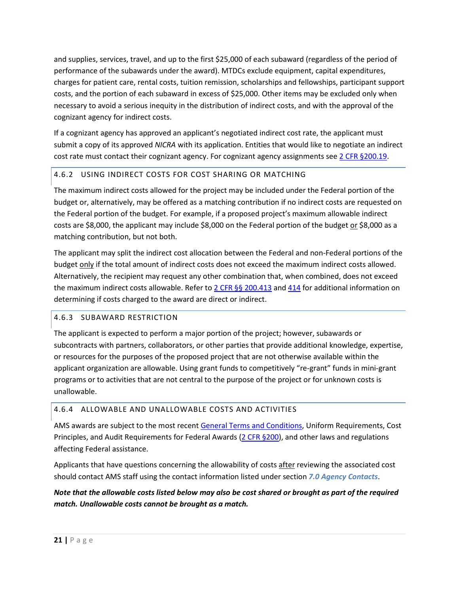and supplies, services, travel, and up to the first \$25,000 of each subaward (regardless of the period of performance of the subawards under the award). MTDCs exclude equipment, capital expenditures, charges for patient care, rental costs, tuition remission, scholarships and fellowships, participant support costs, and the portion of each subaward in excess of \$25,000. Other items may be excluded only when necessary to avoid a serious inequity in the distribution of indirect costs, and with the approval of the cognizant agency for indirect costs.

If a cognizant agency has approved an applicant's negotiated indirect cost rate, the applicant must submit a copy of its approved *NICRA* with its application. Entities that would like to negotiate an indirect cost rate must contact their cognizant agency. For cognizant agency assignments se[e 2 CFR §200.19.](http://www.ecfr.gov/cgi-bin/text-idx?SID=b604d136261e7179f37dcd8b28d0e921&mc=true&node=pt2.1.200&rgn=div5#se2.1.200_1306)

# <span id="page-20-2"></span>4.6.2 USING INDIRECT COSTS FOR COST SHARING OR MATCHING

The maximum indirect costs allowed for the project may be included under the Federal portion of the budget or, alternatively, may be offered as a matching contribution if no indirect costs are requested on the Federal portion of the budget. For example, if a proposed project's maximum allowable indirect costs are \$8,000, the applicant may include \$8,000 on the Federal portion of the budget or \$8,000 as a matching contribution, but not both.

The applicant may split the indirect cost allocation between the Federal and non-Federal portions of the budget only if the total amount of indirect costs does not exceed the maximum indirect costs allowed. Alternatively, the recipient may request any other combination that, when combined, does not exceed the maximum indirect costs allowable. Refer to  $2$  CFR §§ 200.413 and [414](http://www.ecfr.gov/cgi-bin/text-idx?node=2:1.1.2.2.1&rgn=div5#se2.1.200_1414) for additional information on determining if costs charged to the award are direct or indirect.

# <span id="page-20-0"></span>4.6.3 SUBAWARD RESTRICTION

The applicant is expected to perform a major portion of the project; however, subawards or subcontracts with partners, collaborators, or other parties that provide additional knowledge, expertise, or resources for the purposes of the proposed project that are not otherwise available within the applicant organization are allowable. Using grant funds to competitively "re-grant" funds in mini-grant programs or to activities that are not central to the purpose of the project or for unknown costs is unallowable.

# <span id="page-20-1"></span>4.6.4 ALLOWABLE AND UNALLOWABLE COSTS AND ACTIVITIES

AMS awards are subject to the most recent [General Terms and Conditions,](https://www.ams.usda.gov/sites/default/files/media/AMSGrantsTermsandConditions.pdf) Uniform Requirements, Cost Principles, and Audit Requirements for Federal Awards [\(2 CFR §200\)](https://www.ecfr.gov/cgi-bin/retrieveECFR?gp=&SID=988467ba214fbb07298599affd94f30a&n=pt2.1.200&r=PART&ty=HTML), and other laws and regulations affecting Federal assistance.

Applicants that have questions concerning the allowability of costs after reviewing the associated cost should contact AMS staff using the contact information listed under section *[7.0](#page-35-0) [Agency Contacts](#page-35-0)*.

# *Note that the allowable costs listed below may also be cost shared or brought as part of the required match. Unallowable costs cannot be brought as a match.*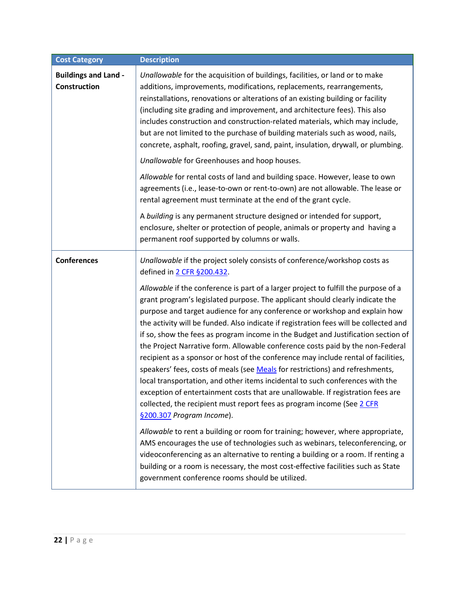<span id="page-21-0"></span>

| <b>Cost Category</b>                               | <b>Description</b>                                                                                                                                                                                                                                                                                                                                                                                                                                                                                                                                                                                                                                                                                                                                                                                                                                                                                                                                                                                                                                                                                                                      |
|----------------------------------------------------|-----------------------------------------------------------------------------------------------------------------------------------------------------------------------------------------------------------------------------------------------------------------------------------------------------------------------------------------------------------------------------------------------------------------------------------------------------------------------------------------------------------------------------------------------------------------------------------------------------------------------------------------------------------------------------------------------------------------------------------------------------------------------------------------------------------------------------------------------------------------------------------------------------------------------------------------------------------------------------------------------------------------------------------------------------------------------------------------------------------------------------------------|
| <b>Buildings and Land -</b><br><b>Construction</b> | Unallowable for the acquisition of buildings, facilities, or land or to make<br>additions, improvements, modifications, replacements, rearrangements,<br>reinstallations, renovations or alterations of an existing building or facility<br>(including site grading and improvement, and architecture fees). This also<br>includes construction and construction-related materials, which may include,<br>but are not limited to the purchase of building materials such as wood, nails,<br>concrete, asphalt, roofing, gravel, sand, paint, insulation, drywall, or plumbing.                                                                                                                                                                                                                                                                                                                                                                                                                                                                                                                                                          |
|                                                    | Unallowable for Greenhouses and hoop houses.                                                                                                                                                                                                                                                                                                                                                                                                                                                                                                                                                                                                                                                                                                                                                                                                                                                                                                                                                                                                                                                                                            |
|                                                    | Allowable for rental costs of land and building space. However, lease to own<br>agreements (i.e., lease-to-own or rent-to-own) are not allowable. The lease or<br>rental agreement must terminate at the end of the grant cycle.                                                                                                                                                                                                                                                                                                                                                                                                                                                                                                                                                                                                                                                                                                                                                                                                                                                                                                        |
|                                                    | A building is any permanent structure designed or intended for support,<br>enclosure, shelter or protection of people, animals or property and having a<br>permanent roof supported by columns or walls.                                                                                                                                                                                                                                                                                                                                                                                                                                                                                                                                                                                                                                                                                                                                                                                                                                                                                                                                |
| <b>Conferences</b>                                 | Unallowable if the project solely consists of conference/workshop costs as<br>defined in 2 CFR §200.432.                                                                                                                                                                                                                                                                                                                                                                                                                                                                                                                                                                                                                                                                                                                                                                                                                                                                                                                                                                                                                                |
|                                                    | Allowable if the conference is part of a larger project to fulfill the purpose of a<br>grant program's legislated purpose. The applicant should clearly indicate the<br>purpose and target audience for any conference or workshop and explain how<br>the activity will be funded. Also indicate if registration fees will be collected and<br>if so, show the fees as program income in the Budget and Justification section of<br>the Project Narrative form. Allowable conference costs paid by the non-Federal<br>recipient as a sponsor or host of the conference may include rental of facilities,<br>speakers' fees, costs of meals (see Meals for restrictions) and refreshments,<br>local transportation, and other items incidental to such conferences with the<br>exception of entertainment costs that are unallowable. If registration fees are<br>collected, the recipient must report fees as program income (See 2 CFR<br>§200.307 Program Income).<br>Allowable to rent a building or room for training; however, where appropriate,<br>AMS encourages the use of technologies such as webinars, teleconferencing, or |
|                                                    | videoconferencing as an alternative to renting a building or a room. If renting a<br>building or a room is necessary, the most cost-effective facilities such as State<br>government conference rooms should be utilized.                                                                                                                                                                                                                                                                                                                                                                                                                                                                                                                                                                                                                                                                                                                                                                                                                                                                                                               |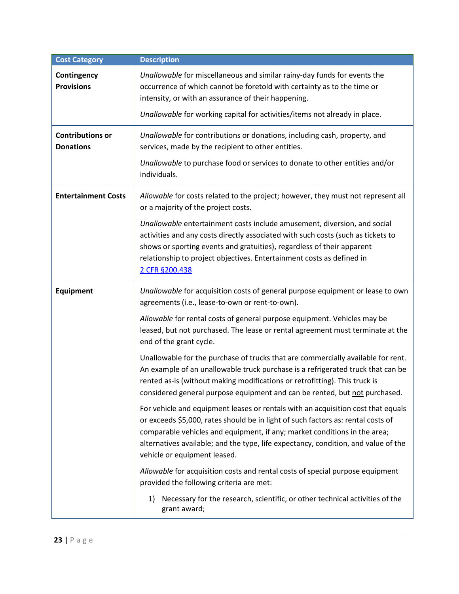| <b>Cost Category</b>                        | <b>Description</b>                                                                                                                                                                                                                                                                                                                                                      |
|---------------------------------------------|-------------------------------------------------------------------------------------------------------------------------------------------------------------------------------------------------------------------------------------------------------------------------------------------------------------------------------------------------------------------------|
| Contingency<br><b>Provisions</b>            | Unallowable for miscellaneous and similar rainy-day funds for events the<br>occurrence of which cannot be foretold with certainty as to the time or<br>intensity, or with an assurance of their happening.                                                                                                                                                              |
|                                             | Unallowable for working capital for activities/items not already in place.                                                                                                                                                                                                                                                                                              |
| <b>Contributions or</b><br><b>Donations</b> | Unallowable for contributions or donations, including cash, property, and<br>services, made by the recipient to other entities.                                                                                                                                                                                                                                         |
|                                             | Unallowable to purchase food or services to donate to other entities and/or<br>individuals.                                                                                                                                                                                                                                                                             |
| <b>Entertainment Costs</b>                  | Allowable for costs related to the project; however, they must not represent all<br>or a majority of the project costs.                                                                                                                                                                                                                                                 |
|                                             | Unallowable entertainment costs include amusement, diversion, and social<br>activities and any costs directly associated with such costs (such as tickets to<br>shows or sporting events and gratuities), regardless of their apparent<br>relationship to project objectives. Entertainment costs as defined in<br>2 CFR §200.438                                       |
| Equipment                                   | Unallowable for acquisition costs of general purpose equipment or lease to own<br>agreements (i.e., lease-to-own or rent-to-own).                                                                                                                                                                                                                                       |
|                                             | Allowable for rental costs of general purpose equipment. Vehicles may be<br>leased, but not purchased. The lease or rental agreement must terminate at the<br>end of the grant cycle.                                                                                                                                                                                   |
|                                             | Unallowable for the purchase of trucks that are commercially available for rent.<br>An example of an unallowable truck purchase is a refrigerated truck that can be<br>rented as-is (without making modifications or retrofitting). This truck is<br>considered general purpose equipment and can be rented, but not purchased.                                         |
|                                             | For vehicle and equipment leases or rentals with an acquisition cost that equals<br>or exceeds \$5,000, rates should be in light of such factors as: rental costs of<br>comparable vehicles and equipment, if any; market conditions in the area;<br>alternatives available; and the type, life expectancy, condition, and value of the<br>vehicle or equipment leased. |
|                                             | Allowable for acquisition costs and rental costs of special purpose equipment<br>provided the following criteria are met:                                                                                                                                                                                                                                               |
|                                             | Necessary for the research, scientific, or other technical activities of the<br>1)<br>grant award;                                                                                                                                                                                                                                                                      |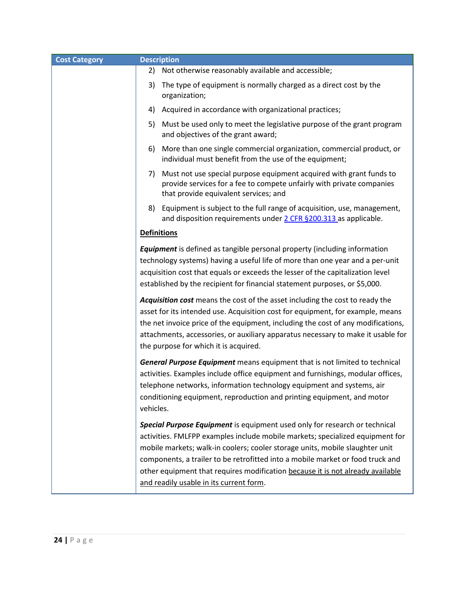| <b>Cost Category</b> | <b>Description</b>                                                                                                                                                                                                                                                                                                                                                                                                                                         |
|----------------------|------------------------------------------------------------------------------------------------------------------------------------------------------------------------------------------------------------------------------------------------------------------------------------------------------------------------------------------------------------------------------------------------------------------------------------------------------------|
|                      | Not otherwise reasonably available and accessible;<br>2)                                                                                                                                                                                                                                                                                                                                                                                                   |
|                      | The type of equipment is normally charged as a direct cost by the<br>3)<br>organization;                                                                                                                                                                                                                                                                                                                                                                   |
|                      | Acquired in accordance with organizational practices;<br>4)                                                                                                                                                                                                                                                                                                                                                                                                |
|                      | Must be used only to meet the legislative purpose of the grant program<br>5)<br>and objectives of the grant award;                                                                                                                                                                                                                                                                                                                                         |
|                      | More than one single commercial organization, commercial product, or<br>6)<br>individual must benefit from the use of the equipment;                                                                                                                                                                                                                                                                                                                       |
|                      | Must not use special purpose equipment acquired with grant funds to<br>7)<br>provide services for a fee to compete unfairly with private companies<br>that provide equivalent services; and                                                                                                                                                                                                                                                                |
|                      | Equipment is subject to the full range of acquisition, use, management,<br>8)<br>and disposition requirements under 2 CFR §200.313 as applicable.                                                                                                                                                                                                                                                                                                          |
|                      | <b>Definitions</b>                                                                                                                                                                                                                                                                                                                                                                                                                                         |
|                      | <b>Equipment</b> is defined as tangible personal property (including information<br>technology systems) having a useful life of more than one year and a per-unit<br>acquisition cost that equals or exceeds the lesser of the capitalization level<br>established by the recipient for financial statement purposes, or \$5,000.                                                                                                                          |
|                      | Acquisition cost means the cost of the asset including the cost to ready the<br>asset for its intended use. Acquisition cost for equipment, for example, means<br>the net invoice price of the equipment, including the cost of any modifications,<br>attachments, accessories, or auxiliary apparatus necessary to make it usable for<br>the purpose for which it is acquired.                                                                            |
|                      | <b>General Purpose Equipment</b> means equipment that is not limited to technical<br>activities. Examples include office equipment and furnishings, modular offices,<br>telephone networks, information technology equipment and systems, air<br>conditioning equipment, reproduction and printing equipment, and motor<br>vehicles.                                                                                                                       |
|                      | Special Purpose Equipment is equipment used only for research or technical<br>activities. FMLFPP examples include mobile markets; specialized equipment for<br>mobile markets; walk-in coolers; cooler storage units, mobile slaughter unit<br>components, a trailer to be retrofitted into a mobile market or food truck and<br>other equipment that requires modification because it is not already available<br>and readily usable in its current form. |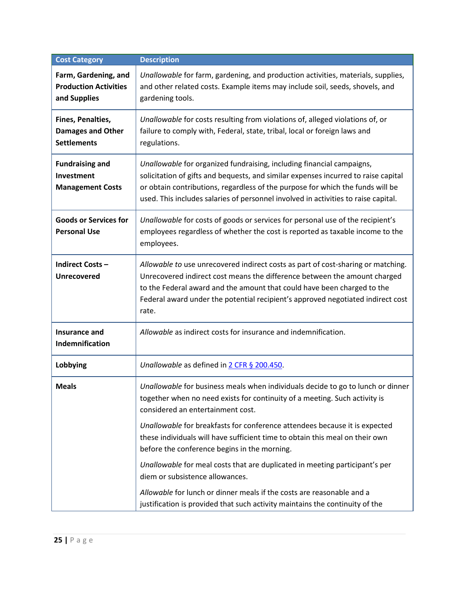<span id="page-24-0"></span>

| <b>Cost Category</b>                                                 | <b>Description</b>                                                                                                                                                                                                                                                                                                                   |
|----------------------------------------------------------------------|--------------------------------------------------------------------------------------------------------------------------------------------------------------------------------------------------------------------------------------------------------------------------------------------------------------------------------------|
| Farm, Gardening, and<br><b>Production Activities</b><br>and Supplies | Unallowable for farm, gardening, and production activities, materials, supplies,<br>and other related costs. Example items may include soil, seeds, shovels, and<br>gardening tools.                                                                                                                                                 |
| Fines, Penalties,<br><b>Damages and Other</b><br><b>Settlements</b>  | Unallowable for costs resulting from violations of, alleged violations of, or<br>failure to comply with, Federal, state, tribal, local or foreign laws and<br>regulations.                                                                                                                                                           |
| <b>Fundraising and</b><br>Investment<br><b>Management Costs</b>      | Unallowable for organized fundraising, including financial campaigns,<br>solicitation of gifts and bequests, and similar expenses incurred to raise capital<br>or obtain contributions, regardless of the purpose for which the funds will be<br>used. This includes salaries of personnel involved in activities to raise capital.  |
| <b>Goods or Services for</b><br><b>Personal Use</b>                  | Unallowable for costs of goods or services for personal use of the recipient's<br>employees regardless of whether the cost is reported as taxable income to the<br>employees.                                                                                                                                                        |
| <b>Indirect Costs-</b><br><b>Unrecovered</b>                         | Allowable to use unrecovered indirect costs as part of cost-sharing or matching.<br>Unrecovered indirect cost means the difference between the amount charged<br>to the Federal award and the amount that could have been charged to the<br>Federal award under the potential recipient's approved negotiated indirect cost<br>rate. |
| <b>Insurance and</b><br>Indemnification                              | Allowable as indirect costs for insurance and indemnification.                                                                                                                                                                                                                                                                       |
| Lobbying                                                             | Unallowable as defined in 2 CFR § 200.450.                                                                                                                                                                                                                                                                                           |
| <b>Meals</b>                                                         | Unallowable for business meals when individuals decide to go to lunch or dinner<br>together when no need exists for continuity of a meeting. Such activity is<br>considered an entertainment cost.<br>Unallowable for breakfasts for conference attendees because it is expected                                                     |
|                                                                      | these individuals will have sufficient time to obtain this meal on their own<br>before the conference begins in the morning.                                                                                                                                                                                                         |
|                                                                      | Unallowable for meal costs that are duplicated in meeting participant's per<br>diem or subsistence allowances.                                                                                                                                                                                                                       |
|                                                                      | Allowable for lunch or dinner meals if the costs are reasonable and a<br>justification is provided that such activity maintains the continuity of the                                                                                                                                                                                |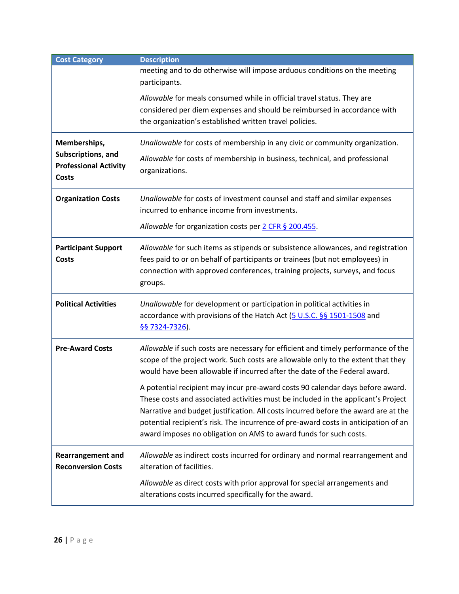| <b>Cost Category</b>         | <b>Description</b>                                                                     |  |  |
|------------------------------|----------------------------------------------------------------------------------------|--|--|
|                              | meeting and to do otherwise will impose arduous conditions on the meeting              |  |  |
|                              | participants.                                                                          |  |  |
|                              | Allowable for meals consumed while in official travel status. They are                 |  |  |
|                              | considered per diem expenses and should be reimbursed in accordance with               |  |  |
|                              | the organization's established written travel policies.                                |  |  |
| Memberships,                 | Unallowable for costs of membership in any civic or community organization.            |  |  |
| Subscriptions, and           | Allowable for costs of membership in business, technical, and professional             |  |  |
| <b>Professional Activity</b> | organizations.                                                                         |  |  |
| <b>Costs</b>                 |                                                                                        |  |  |
| <b>Organization Costs</b>    | Unallowable for costs of investment counsel and staff and similar expenses             |  |  |
|                              | incurred to enhance income from investments.                                           |  |  |
|                              | Allowable for organization costs per 2 CFR § 200.455.                                  |  |  |
|                              |                                                                                        |  |  |
| <b>Participant Support</b>   | Allowable for such items as stipends or subsistence allowances, and registration       |  |  |
| <b>Costs</b>                 | fees paid to or on behalf of participants or trainees (but not employees) in           |  |  |
|                              | connection with approved conferences, training projects, surveys, and focus<br>groups. |  |  |
|                              |                                                                                        |  |  |
| <b>Political Activities</b>  | Unallowable for development or participation in political activities in                |  |  |
|                              | accordance with provisions of the Hatch Act (5 U.S.C. §§ 1501-1508 and                 |  |  |
|                              | §§ 7324-7326).                                                                         |  |  |
| <b>Pre-Award Costs</b>       | Allowable if such costs are necessary for efficient and timely performance of the      |  |  |
|                              | scope of the project work. Such costs are allowable only to the extent that they       |  |  |
|                              | would have been allowable if incurred after the date of the Federal award.             |  |  |
|                              | A potential recipient may incur pre-award costs 90 calendar days before award.         |  |  |
|                              | These costs and associated activities must be included in the applicant's Project      |  |  |
|                              | Narrative and budget justification. All costs incurred before the award are at the     |  |  |
|                              | potential recipient's risk. The incurrence of pre-award costs in anticipation of an    |  |  |
|                              | award imposes no obligation on AMS to award funds for such costs.                      |  |  |
| <b>Rearrangement and</b>     | Allowable as indirect costs incurred for ordinary and normal rearrangement and         |  |  |
| <b>Reconversion Costs</b>    | alteration of facilities.                                                              |  |  |
|                              | Allowable as direct costs with prior approval for special arrangements and             |  |  |
|                              | alterations costs incurred specifically for the award.                                 |  |  |
|                              |                                                                                        |  |  |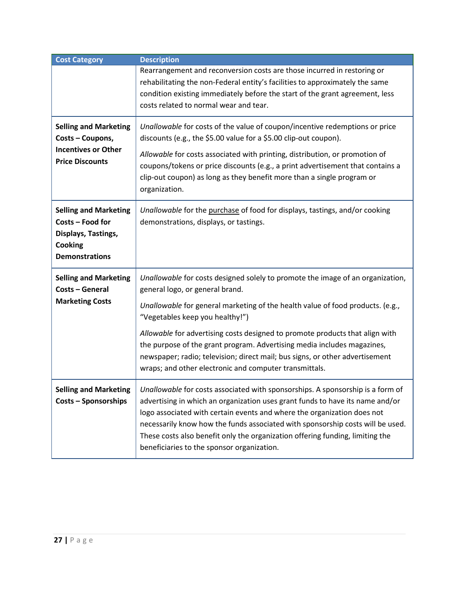| <b>Cost Category</b>                                                                                        | <b>Description</b>                                                                                                                                                                                                                                                                                                                                                                                                                                                                                                                          |
|-------------------------------------------------------------------------------------------------------------|---------------------------------------------------------------------------------------------------------------------------------------------------------------------------------------------------------------------------------------------------------------------------------------------------------------------------------------------------------------------------------------------------------------------------------------------------------------------------------------------------------------------------------------------|
|                                                                                                             | Rearrangement and reconversion costs are those incurred in restoring or<br>rehabilitating the non-Federal entity's facilities to approximately the same<br>condition existing immediately before the start of the grant agreement, less<br>costs related to normal wear and tear.                                                                                                                                                                                                                                                           |
| <b>Selling and Marketing</b><br>Costs - Coupons,<br><b>Incentives or Other</b><br><b>Price Discounts</b>    | Unallowable for costs of the value of coupon/incentive redemptions or price<br>discounts (e.g., the \$5.00 value for a \$5.00 clip-out coupon).<br>Allowable for costs associated with printing, distribution, or promotion of<br>coupons/tokens or price discounts (e.g., a print advertisement that contains a<br>clip-out coupon) as long as they benefit more than a single program or<br>organization.                                                                                                                                 |
| <b>Selling and Marketing</b><br>Costs - Food for<br>Displays, Tastings,<br>Cooking<br><b>Demonstrations</b> | Unallowable for the purchase of food for displays, tastings, and/or cooking<br>demonstrations, displays, or tastings.                                                                                                                                                                                                                                                                                                                                                                                                                       |
| <b>Selling and Marketing</b><br>Costs - General<br><b>Marketing Costs</b>                                   | Unallowable for costs designed solely to promote the image of an organization,<br>general logo, or general brand.<br>Unallowable for general marketing of the health value of food products. (e.g.,<br>"Vegetables keep you healthy!")<br>Allowable for advertising costs designed to promote products that align with<br>the purpose of the grant program. Advertising media includes magazines,<br>newspaper; radio; television; direct mail; bus signs, or other advertisement<br>wraps; and other electronic and computer transmittals. |
| <b>Selling and Marketing</b><br><b>Costs - Sponsorships</b>                                                 | Unallowable for costs associated with sponsorships. A sponsorship is a form of<br>advertising in which an organization uses grant funds to have its name and/or<br>logo associated with certain events and where the organization does not<br>necessarily know how the funds associated with sponsorship costs will be used.<br>These costs also benefit only the organization offering funding, limiting the<br>beneficiaries to the sponsor organization.                                                                                 |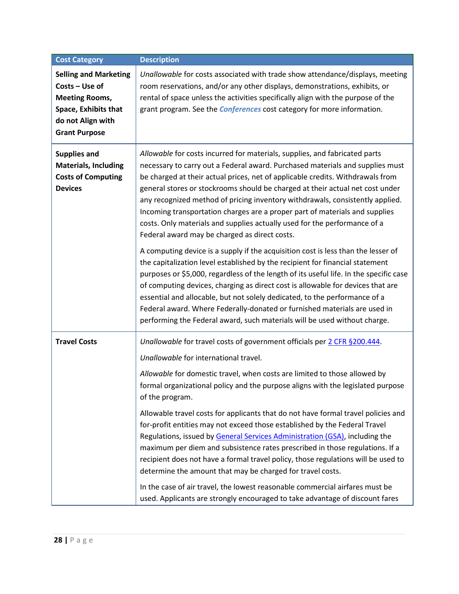| <b>Cost Category</b>                                                                                                                         | <b>Description</b>                                                                                                                                                                                                                                                                                                                                                                                                                                                                                                                                                                                                                                                                                                                                                                        |
|----------------------------------------------------------------------------------------------------------------------------------------------|-------------------------------------------------------------------------------------------------------------------------------------------------------------------------------------------------------------------------------------------------------------------------------------------------------------------------------------------------------------------------------------------------------------------------------------------------------------------------------------------------------------------------------------------------------------------------------------------------------------------------------------------------------------------------------------------------------------------------------------------------------------------------------------------|
| <b>Selling and Marketing</b><br>Costs - Use of<br><b>Meeting Rooms,</b><br>Space, Exhibits that<br>do not Align with<br><b>Grant Purpose</b> | Unallowable for costs associated with trade show attendance/displays, meeting<br>room reservations, and/or any other displays, demonstrations, exhibits, or<br>rental of space unless the activities specifically align with the purpose of the<br>grant program. See the <i>Conferences</i> cost category for more information.                                                                                                                                                                                                                                                                                                                                                                                                                                                          |
| <b>Supplies and</b><br><b>Materials, Including</b><br><b>Costs of Computing</b><br><b>Devices</b>                                            | Allowable for costs incurred for materials, supplies, and fabricated parts<br>necessary to carry out a Federal award. Purchased materials and supplies must<br>be charged at their actual prices, net of applicable credits. Withdrawals from<br>general stores or stockrooms should be charged at their actual net cost under<br>any recognized method of pricing inventory withdrawals, consistently applied.<br>Incoming transportation charges are a proper part of materials and supplies<br>costs. Only materials and supplies actually used for the performance of a<br>Federal award may be charged as direct costs.                                                                                                                                                              |
|                                                                                                                                              | A computing device is a supply if the acquisition cost is less than the lesser of<br>the capitalization level established by the recipient for financial statement<br>purposes or \$5,000, regardless of the length of its useful life. In the specific case<br>of computing devices, charging as direct cost is allowable for devices that are<br>essential and allocable, but not solely dedicated, to the performance of a<br>Federal award. Where Federally-donated or furnished materials are used in<br>performing the Federal award, such materials will be used without charge.                                                                                                                                                                                                   |
| <b>Travel Costs</b>                                                                                                                          | Unallowable for travel costs of government officials per 2 CFR §200.444.<br>Unallowable for international travel.<br>Allowable for domestic travel, when costs are limited to those allowed by<br>formal organizational policy and the purpose aligns with the legislated purpose<br>of the program.<br>Allowable travel costs for applicants that do not have formal travel policies and<br>for-profit entities may not exceed those established by the Federal Travel<br>Regulations, issued by General Services Administration (GSA), including the<br>maximum per diem and subsistence rates prescribed in those regulations. If a<br>recipient does not have a formal travel policy, those regulations will be used to<br>determine the amount that may be charged for travel costs. |
|                                                                                                                                              | In the case of air travel, the lowest reasonable commercial airfares must be<br>used. Applicants are strongly encouraged to take advantage of discount fares                                                                                                                                                                                                                                                                                                                                                                                                                                                                                                                                                                                                                              |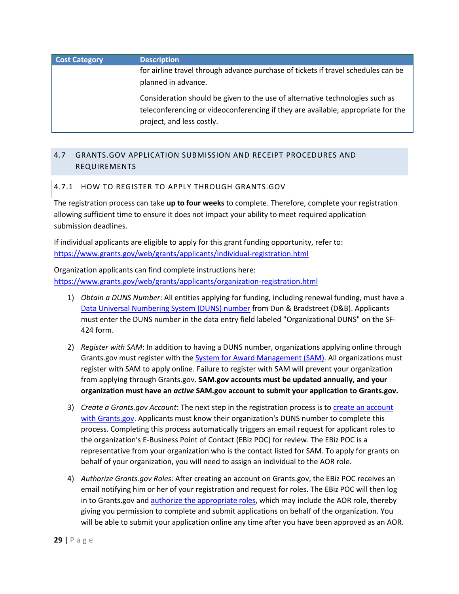| <b>Cost Category</b> | <b>Description</b>                                                                                                                                               |
|----------------------|------------------------------------------------------------------------------------------------------------------------------------------------------------------|
|                      | for airline travel through advance purchase of tickets if travel schedules can be                                                                                |
|                      | planned in advance.                                                                                                                                              |
|                      | Consideration should be given to the use of alternative technologies such as<br>teleconferencing or videoconferencing if they are available, appropriate for the |
|                      | project, and less costly.                                                                                                                                        |

# <span id="page-28-1"></span><span id="page-28-0"></span>4.7 GRANTS.GOV APPLICATION SUBMISSION AND RECEIPT PROCEDURES AND REQUIREMENTS

# 4.7.1 HOW TO REGISTER TO APPLY THROUGH GRANTS.GOV

The registration process can take **up to four weeks** to complete. Therefore, complete your registration allowing sufficient time to ensure it does not impact your ability to meet required application submission deadlines.

If individual applicants are eligible to apply for this grant funding opportunity, refer to: <https://www.grants.gov/web/grants/applicants/individual-registration.html>

Organization applicants can find complete instructions here: <https://www.grants.gov/web/grants/applicants/organization-registration.html>

- <span id="page-28-2"></span>1) *Obtain a DUNS Number*: All entities applying for funding, including renewal funding, must have a [Data Universal Numbering System \(DUNS\) number](https://www.grants.gov/web/grants/applicants/organization-registration/step-1-obtain-duns-number.html) from Dun & Bradstreet (D&B). Applicants must enter the DUNS number in the data entry field labeled "Organizational DUNS" on the SF-424 form.
- 2) *Register with SAM*: In addition to having a DUNS number, organizations applying online through Grants.gov must register with the **System for Award Management (SAM)**. All organizations must register with SAM to apply online. Failure to register with SAM will prevent your organization from applying through Grants.gov. **SAM.gov accounts must be updated annually, and your organization must have an** *active* **SAM.gov account to submit your application to Grants.gov.**
- 3) *Create a Grants.gov Account*: The next step in the registration process is to *create an account* [with Grants.gov.](https://www.grants.gov/web/grants/applicants/organization-registration/step-3-username-password.html) Applicants must know their organization's DUNS number to complete this process. Completing this process automatically triggers an email request for applicant roles to the organization's E-Business Point of Contact (EBiz POC) for review. The EBiz POC is a representative from your organization who is the contact listed for SAM. To apply for grants on behalf of your organization, you will need to assign an individual to the AOR role.
- 4) *Authorize Grants.gov Roles*: After creating an account on Grants.gov, the EBiz POC receives an email notifying him or her of your registration and request for roles. The EBiz POC will then log in to Grants.gov and [authorize the appropriate roles,](https://www.grants.gov/web/grants/applicants/organization-registration/step-4-aor-authorization.html) which may include the AOR role, thereby giving you permission to complete and submit applications on behalf of the organization. You will be able to submit your application online any time after you have been approved as an AOR.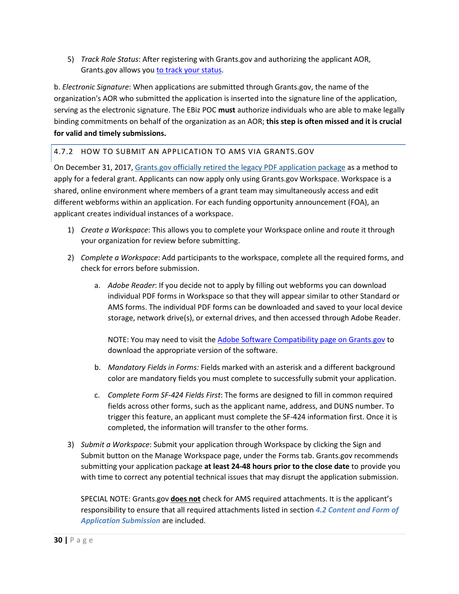5) *Track Role Status*: After registering with Grants.gov and authorizing the applicant AOR, Grants.gov allows you [to track your status.](https://www.grants.gov/web/grants/applicants/organization-registration/step-5-track-aor-status.html)

b. *Electronic Signature*: When applications are submitted through Grants.gov, the name of the organization's AOR who submitted the application is inserted into the signature line of the application, serving as the electronic signature. The EBiz POC **must** authorize individuals who are able to make legally binding commitments on behalf of the organization as an AOR; **this step is often missed and it is crucial for valid and timely submissions.**

# 4.7.2 HOW TO SUBMIT AN APPLICATION TO AMS VIA GRANTS.GOV

On December 31, 2017, Grants.gov officially retired [the legacy PDF application package](https://communications.grants.gov/app/l/mAUxjSrHx7QfuSE9bBKMSQ/8wUMOSFAzsZ0MK9DNLgLtg/hysv8Unh3EXvtNpco6IwbQ) as a method to apply for a federal grant. Applicants can now apply only using Grants.gov Workspace. Workspace is a shared, online environment where members of a grant team may simultaneously access and edit different webforms within an application. For each funding opportunity announcement (FOA), an applicant creates individual instances of a workspace.

- 1) *Create a Workspace*: This allows you to complete your Workspace online and route it through your organization for review before submitting.
- 2) *Complete a Workspace*: Add participants to the workspace, complete all the required forms, and check for errors before submission.
	- a. *Adobe Reader*: If you decide not to apply by filling out webforms you can download individual PDF forms in Workspace so that they will appear similar to other Standard or AMS forms. The individual PDF forms can be downloaded and saved to your local device storage, network drive(s), or external drives, and then accessed through Adobe Reader.

NOTE: You may need to visit the [Adobe Software Compatibility page on Grants.gov](https://www.grants.gov/web/grants/applicants/adobe-software-compatibility.html) to download the appropriate version of the software.

- b. *Mandatory Fields in Forms:* Fields marked with an asterisk and a different background color are mandatory fields you must complete to successfully submit your application.
- c. *Complete Form SF-424 Fields First*: The forms are designed to fill in common required fields across other forms, such as the applicant name, address, and DUNS number. To trigger this feature, an applicant must complete the SF-424 information first. Once it is completed, the information will transfer to the other forms.
- 3) *Submit a Workspace*: Submit your application through Workspace by clicking the Sign and Submit button on the Manage Workspace page, under the Forms tab. Grants.gov recommends submitting your application package **at least 24-48 hours prior to the close date** to provide you with time to correct any potential technical issues that may disrupt the application submission.

SPECIAL NOTE: Grants.gov **does not** check for AMS required attachments. It is the applicant's responsibility to ensure that all required attachments listed in section *[4.2](#page-14-0) [Content and Form of](#page-14-0)  [Application Submission](#page-14-0)* are included.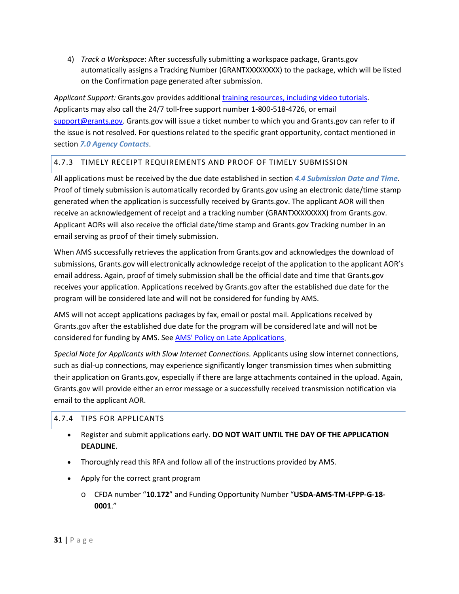4) *Track a Workspace*: After successfully submitting a workspace package, Grants.gov automatically assigns a Tracking Number (GRANTXXXXXXXX) to the package, which will be listed on the Confirmation page generated after submission.

*Applicant Support:* Grants.gov provides additiona[l training resources, including video tutorials.](https://www.grants.gov/web/grants/applicants/applicant-training.html) Applicants may also call the 24/7 toll-free support number 1-800-518-4726, or email [support@grants.gov.](mailto:support@grants.gov) Grants.gov will issue a ticket number to which you and Grants.gov can refer to if the issue is not resolved. For questions related to the specific grant opportunity, contact mentioned in section *[7.0](#page-35-0) [Agency Contacts](#page-35-0)*.

# 4.7.3 TIMELY RECEIPT REQUIREMENTS AND PROOF OF TIMELY SUBMISSION

All applications must be received by the due date established in section *[4.4](#page-19-0) [Submission Date and Time](#page-19-0)*. Proof of timely submission is automatically recorded by Grants.gov using an electronic date/time stamp generated when the application is successfully received by Grants.gov. The applicant AOR will then receive an acknowledgement of receipt and a tracking number (GRANTXXXXXXXX) from Grants.gov. Applicant AORs will also receive the official date/time stamp and Grants.gov Tracking number in an email serving as proof of their timely submission.

When AMS successfully retrieves the application from Grants.gov and acknowledges the download of submissions, Grants.gov will electronically acknowledge receipt of the application to the applicant AOR's email address. Again, proof of timely submission shall be the official date and time that Grants.gov receives your application. Applications received by Grants.gov after the established due date for the program will be considered late and will not be considered for funding by AMS.

AMS will not accept applications packages by fax, email or postal mail. Applications received by Grants.gov after the established due date for the program will be considered late and will not be considered for funding by AMS. See [AMS' Policy on Late Applications.](https://www.ams.usda.gov/sites/default/files/media/AMSPolicyonConsiderationofLateNonresponsiveApplications.pdf)

*Special Note for Applicants with Slow Internet Connections.* Applicants using slow internet connections, such as dial-up connections, may experience significantly longer transmission times when submitting their application on Grants.gov, especially if there are large attachments contained in the upload. Again, Grants.gov will provide either an error message or a successfully received transmission notification via email to the applicant AOR.

# 4.7.4 TIPS FOR APPLICANTS

- Register and submit applications early. **DO NOT WAIT UNTIL THE DAY OF THE APPLICATION DEADLINE**.
- Thoroughly read this RFA and follow all of the instructions provided by AMS.
- Apply for the correct grant program
	- o CFDA number "**10.172**" and Funding Opportunity Number "**USDA-AMS-TM-LFPP-G-18-0001**."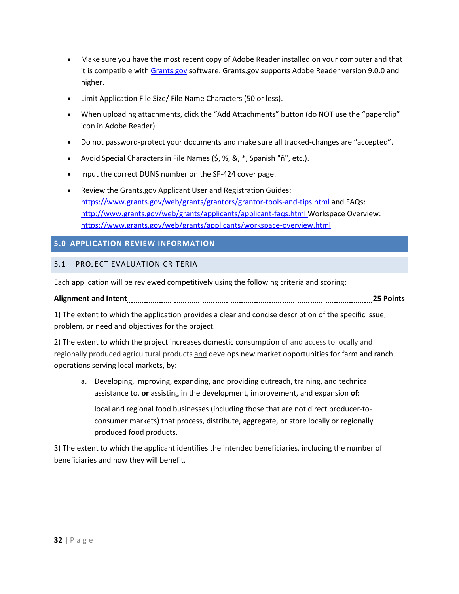- Make sure you have the most recent copy of Adobe Reader installed on your computer and that it is compatible with [Grants.gov](http://www.grants.gov/) software. Grants.gov supports Adobe Reader version 9.0.0 and higher.
- Limit Application File Size/ File Name Characters (50 or less).
- When uploading attachments, click the "Add Attachments" button (do NOT use the "paperclip" icon in Adobe Reader)
- Do not password-protect your documents and make sure all tracked-changes are "accepted".
- Avoid Special Characters in File Names (\$, %, &, \*, Spanish "ñ", etc.).
- Input the correct DUNS number on the SF-424 cover page.
- Review the Grants.gov Applicant User and Registration Guides: <https://www.grants.gov/web/grants/grantors/grantor-tools-and-tips.html> and FAQs: <http://www.grants.gov/web/grants/applicants/applicant-faqs.html> Workspace Overview: <https://www.grants.gov/web/grants/applicants/workspace-overview.html>

# <span id="page-31-0"></span>**5.0 APPLICATION REVIEW INFORMATION**

# <span id="page-31-1"></span>5.1 PROJECT EVALUATION CRITERIA

Each application will be reviewed competitively using the following criteria and scoring:

**Alignment and Intent 25 Points**

1) The extent to which the application provides a clear and concise description of the specific issue, problem, or need and objectives for the project.

2) The extent to which the project increases domestic consumption of and access to locally and regionally produced agricultural products and develops new market opportunities for farm and ranch operations serving local markets, by:

a. Developing, improving, expanding, and providing outreach, training, and technical assistance to, **or** assisting in the development, improvement, and expansion **of**:

local and regional food businesses (including those that are not direct producer-toconsumer markets) that process, distribute, aggregate, or store locally or regionally produced food products.

3) The extent to which the applicant identifies the intended beneficiaries, including the number of beneficiaries and how they will benefit.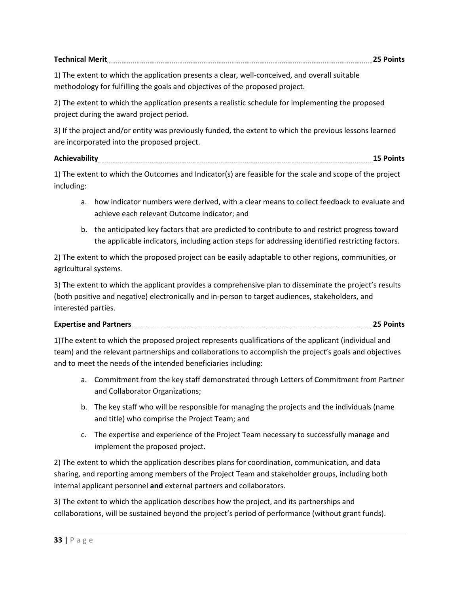| <b>Technical Merit</b> |  |
|------------------------|--|
|------------------------|--|

1) The extent to which the application presents a clear, well-conceived, and overall suitable methodology for fulfilling the goals and objectives of the proposed project.

2) The extent to which the application presents a realistic schedule for implementing the proposed project during the award project period.

3) If the project and/or entity was previously funded, the extent to which the previous lessons learned are incorporated into the proposed project.

# **Achievability 15 Points**

1) The extent to which the Outcomes and Indicator(s) are feasible for the scale and scope of the project including:

- a. how indicator numbers were derived, with a clear means to collect feedback to evaluate and achieve each relevant Outcome indicator; and
- b. the anticipated key factors that are predicted to contribute to and restrict progress toward the applicable indicators, including action steps for addressing identified restricting factors.

2) The extent to which the proposed project can be easily adaptable to other regions, communities, or agricultural systems.

3) The extent to which the applicant provides a comprehensive plan to disseminate the project's results (both positive and negative) electronically and in-person to target audiences, stakeholders, and interested parties.

# **Expertise and Partners 25 Points**

1)The extent to which the proposed project represents qualifications of the applicant (individual and team) and the relevant partnerships and collaborations to accomplish the project's goals and objectives and to meet the needs of the intended beneficiaries including:

- a. Commitment from the key staff demonstrated through Letters of Commitment from Partner and Collaborator Organizations;
- b. The key staff who will be responsible for managing the projects and the individuals (name and title) who comprise the Project Team; and
- c. The expertise and experience of the Project Team necessary to successfully manage and implement the proposed project.

2) The extent to which the application describes plans for coordination, communication, and data sharing, and reporting among members of the Project Team and stakeholder groups, including both internal applicant personnel **and** external partners and collaborators.

3) The extent to which the application describes how the project, and its partnerships and collaborations, will be sustained beyond the project's period of performance (without grant funds).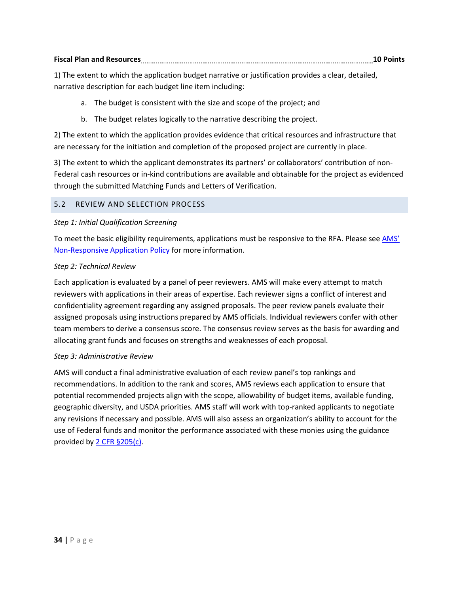| <b>Fiscal Plan and Resources</b> |  | ' POINLS |
|----------------------------------|--|----------|
|----------------------------------|--|----------|

1) The extent to which the application budget narrative or justification provides a clear, detailed, narrative description for each budget line item including:

- a. The budget is consistent with the size and scope of the project; and
- b. The budget relates logically to the narrative describing the project.

2) The extent to which the application provides evidence that critical resources and infrastructure that are necessary for the initiation and completion of the proposed project are currently in place.

3) The extent to which the applicant demonstrates its partners' or collaborators' contribution of non-Federal cash resources or in-kind contributions are available and obtainable for the project as evidenced through the submitted Matching Funds and Letters of Verification.

# <span id="page-33-0"></span>5.2 REVIEW AND SELECTION PROCESS

### *Step 1: Initial Qualification Screening*

To meet the basic eligibility requirements, applications must be responsive to the RFA. Please see AMS' [Non-Responsive Application Policy f](https://www.ams.usda.gov/sites/default/files/media/AMSPolicyonConsiderationofLateNonresponsiveApplications.pdf)or more information.

### *Step 2: Technical Review*

Each application is evaluated by a panel of peer reviewers. AMS will make every attempt to match reviewers with applications in their areas of expertise. Each reviewer signs a conflict of interest and confidentiality agreement regarding any assigned proposals. The peer review panels evaluate their assigned proposals using instructions prepared by AMS officials. Individual reviewers confer with other team members to derive a consensus score. The consensus review serves as the basis for awarding and allocating grant funds and focuses on strengths and weaknesses of each proposal.

#### *Step 3: Administrative Review*

<span id="page-33-1"></span>AMS will conduct a final administrative evaluation of each review panel's top rankings and recommendations. In addition to the rank and scores, AMS reviews each application to ensure that potential recommended projects align with the scope, allowability of budget items, available funding, geographic diversity, and USDA priorities. AMS staff will work with top-ranked applicants to negotiate any revisions if necessary and possible. AMS will also assess an organization's ability to account for the use of Federal funds and monitor the performance associated with these monies using the guidance provided b[y 2 CFR §205\(c\).](https://www.ecfr.gov/cgi-bin/retrieveECFR?gp=&SID=988467ba214fbb07298599affd94f30a&n=pt2.1.200&r=PART&ty=HTML#se2.1.200_1205)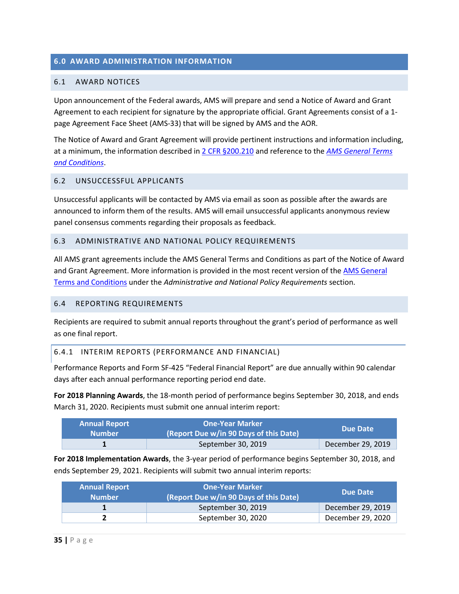# **6.0 AWARD ADMINISTRATION INFORMATION**

#### <span id="page-34-0"></span>6.1 AWARD NOTICES

Upon announcement of the Federal awards, AMS will prepare and send a Notice of Award and Grant Agreement to each recipient for signature by the appropriate official. Grant Agreements consist of a 1 page Agreement Face Sheet (AMS-33) that will be signed by AMS and the AOR.

The Notice of Award and Grant Agreement will provide pertinent instructions and information including, at a minimum, the information described i[n 2 CFR §200.210](https://www.ecfr.gov/cgi-bin/text-idx?SID=70b44cfc44976f4a7742464f7cfbb37e&mc=true&node=se2.1.200_1210&rgn=div8) and reference to the *[AMS General Terms](https://www.ams.usda.gov/sites/default/files/media/AMSGrantsTermsandConditions.pdf)  [and Conditions](https://www.ams.usda.gov/sites/default/files/media/AMSGrantsTermsandConditions.pdf)*.

#### <span id="page-34-1"></span>6.2 UNSUCCESSFUL APPLICANTS

Unsuccessful applicants will be contacted by AMS via email as soon as possible after the awards are announced to inform them of the results. AMS will email unsuccessful applicants anonymous review panel consensus comments regarding their proposals as feedback.

#### <span id="page-34-2"></span>6.3 ADMINISTRATIVE AND NATIONAL POLICY REQUIREMENTS

All AMS grant agreements include the AMS General Terms and Conditions as part of the Notice of Award and Grant Agreement. More information is provided in the most recent version of the [AMS General](https://www.ams.usda.gov/sites/default/files/media/AMSGrantsTermsandConditions.pdf)  [Terms and Conditions](https://www.ams.usda.gov/sites/default/files/media/AMSGrantsTermsandConditions.pdf) under the *Administrative and National Policy Requirements* section.

#### <span id="page-34-3"></span>6.4 REPORTING REQUIREMENTS

Recipients are required to submit annual reports throughout the grant's period of performance as well as one final report.

#### 6.4.1 INTERIM REPORTS (PERFORMANCE AND FINANCIAL)

Performance Reports and Form SF-425 "Federal Financial Report" are due annually within 90 calendar days after each annual performance reporting period end date.

**For 2018 Planning Awards**, the 18-month period of performance begins September 30, 2018, and ends March 31, 2020. Recipients must submit one annual interim report:

| <b>Annual Report</b><br><b>Number</b> | <b>One-Year Marker</b><br>(Report Due w/in 90 Days of this Date) | Due Date          |
|---------------------------------------|------------------------------------------------------------------|-------------------|
|                                       | September 30, 2019                                               | December 29, 2019 |

**For 2018 Implementation Awards**, the 3-year period of performance begins September 30, 2018, and ends September 29, 2021. Recipients will submit two annual interim reports:

| <b>Annual Report</b><br><b>Number</b> | <b>One-Year Marker</b><br>(Report Due w/in 90 Days of this Date) | Due Date          |
|---------------------------------------|------------------------------------------------------------------|-------------------|
|                                       | September 30, 2019                                               | December 29, 2019 |
|                                       | September 30, 2020                                               | December 29, 2020 |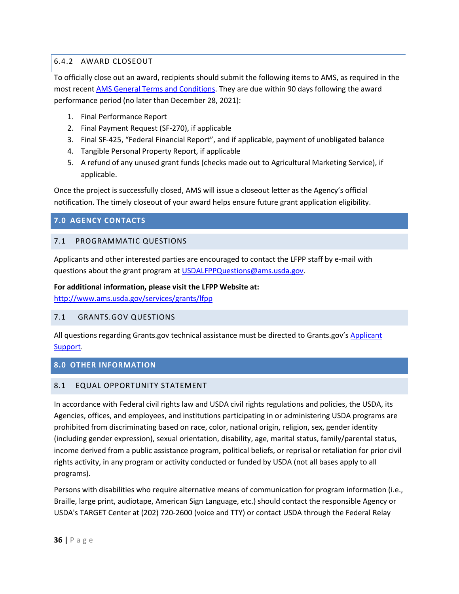# <span id="page-35-5"></span>6.4.2 AWARD CLOSEOUT

To officially close out an award, recipients should submit the following items to AMS, as required in the most recen[t AMS General Terms and Conditions.](https://www.ams.usda.gov/sites/default/files/media/AMSGrantsTermsandConditions.pdf) They are due within 90 days following the award performance period (no later than December 28, 2021):

- 1. Final Performance Report
- 2. Final Payment Request (SF-270), if applicable
- 3. Final SF-425, "Federal Financial Report", and if applicable, payment of unobligated balance
- 4. Tangible Personal Property Report, if applicable
- 5. A refund of any unused grant funds (checks made out to Agricultural Marketing Service), if applicable.

Once the project is successfully closed, AMS will issue a closeout letter as the Agency's official notification. The timely closeout of your award helps ensure future grant application eligibility.

# <span id="page-35-0"></span>**7.0 AGENCY CONTACTS**

# <span id="page-35-1"></span>7.1 PROGRAMMATIC QUESTIONS

Applicants and other interested parties are encouraged to contact the LFPP staff by e-mail with questions about the grant program at [USDALFPPQuestions@ams.usda.gov.](mailto:USDALFPPQuestions@ams.usda.gov)

### **For additional information, please visit the LFPP Website at:**

<http://www.ams.usda.gov/services/grants/lfpp>

# <span id="page-35-2"></span>7.1 GRANTS.GOV QUESTIONS

All questions regarding Grants.gov technical assistance must be directed to Grants.gov's Applicant [Support.](http://www.grants.gov/web/grants/support.html)

# <span id="page-35-3"></span>**8.0 OTHER INFORMATION**

# <span id="page-35-4"></span>8.1 EQUAL OPPORTUNITY STATEMENT

In accordance with Federal civil rights law and USDA civil rights regulations and policies, the USDA, its Agencies, offices, and employees, and institutions participating in or administering USDA programs are prohibited from discriminating based on race, color, national origin, religion, sex, gender identity (including gender expression), sexual orientation, disability, age, marital status, family/parental status, income derived from a public assistance program, political beliefs, or reprisal or retaliation for prior civil rights activity, in any program or activity conducted or funded by USDA (not all bases apply to all programs).

Persons with disabilities who require alternative means of communication for program information (i.e., Braille, large print, audiotape, American Sign Language, etc.) should contact the responsible Agency or USDA's TARGET Center at (202) 720-2600 (voice and TTY) or contact USDA through the Federal Relay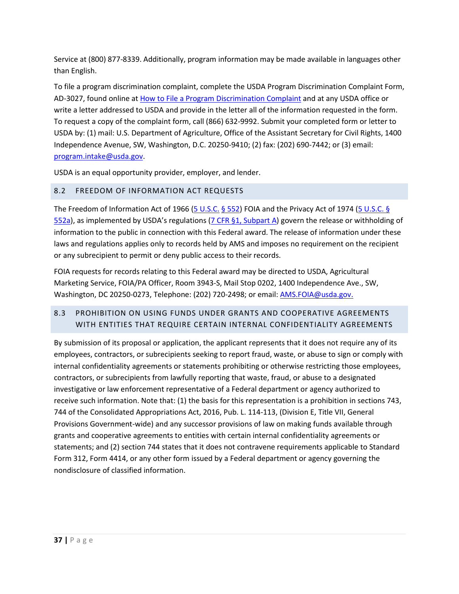Service at (800) 877-8339. Additionally, program information may be made available in languages other than English.

To file a program discrimination complaint, complete the USDA Program Discrimination Complaint Form, AD-3027, found online at [How to File a Program Discrimination Complaint](https://www.ascr.usda.gov/how-file-program-discrimination-complaint) and at any USDA office or write a letter addressed to USDA and provide in the letter all of the information requested in the form. To request a copy of the complaint form, call (866) 632-9992. Submit your completed form or letter to USDA by: (1) mail: U.S. Department of Agriculture, Office of the Assistant Secretary for Civil Rights, 1400 Independence Avenue, SW, Washington, D.C. 20250-9410; (2) fax: (202) 690-7442; or (3) email: [program.intake@usda.gov.](mailto:program.intake@usda.gov)

USDA is an equal opportunity provider, employer, and lender.

# <span id="page-36-0"></span>8.2 FREEDOM OF INFORMATION ACT REQUESTS

The Freedom of Information Act of 1966 [\(5 U.S.C.](http://www.foia.gov/) § 552) FOIA and the Privacy Act of 1974 [\(5 U.S.C. §](http://www.justice.gov/opcl/privstat.htm)  $552a$ ), as implemented by USDA's regulations [\(7 CFR §1, Subpart A\)](http://www.ecfr.gov/cgi-bin/retrieveECFR?n=7y1.1.1.1.1) govern the release or withholding of information to the public in connection with this Federal award. The release of information under these laws and regulations applies only to records held by AMS and imposes no requirement on the recipient or any subrecipient to permit or deny public access to their records.

FOIA requests for records relating to this Federal award may be directed to USDA, Agricultural Marketing Service, FOIA/PA Officer, Room 3943-S, Mail Stop 0202, 1400 Independence Ave., SW, Washington, DC 20250-0273, Telephone: (202) 720-2498; or email: [AMS.FOIA@usda.gov.](mailto:AMS.FOIA@usda.gov)

# <span id="page-36-1"></span>8.3 PROHIBITION ON USING FUNDS UNDER GRANTS AND COOPERATIVE AGREEMENTS WITH ENTITIES THAT REQUIRE CERTAIN INTERNAL CONFIDENTIALITY AGREEMENTS

<span id="page-36-2"></span>By submission of its proposal or application, the applicant represents that it does not require any of its employees, contractors, or subrecipients seeking to report fraud, waste, or abuse to sign or comply with internal confidentiality agreements or statements prohibiting or otherwise restricting those employees, contractors, or subrecipients from lawfully reporting that waste, fraud, or abuse to a designated investigative or law enforcement representative of a Federal department or agency authorized to receive such information. Note that: (1) the basis for this representation is a prohibition in sections 743, 744 of the Consolidated Appropriations Act, 2016, Pub. L. 114-113, (Division E, Title VII, General Provisions Government-wide) and any successor provisions of law on making funds available through grants and cooperative agreements to entities with certain internal confidentiality agreements or statements; and (2) section 744 states that it does not contravene requirements applicable to Standard Form 312, Form 4414, or any other form issued by a Federal department or agency governing the nondisclosure of classified information.